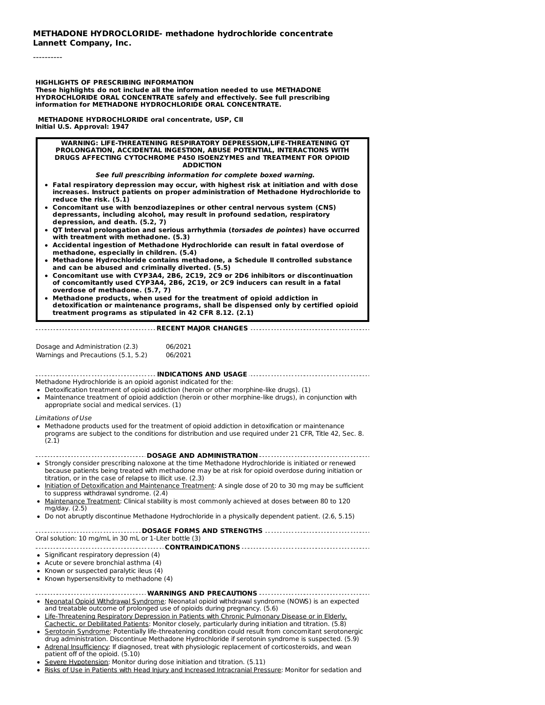----------

**HIGHLIGHTS OF PRESCRIBING INFORMATION**

**These highlights do not include all the information needed to use METHADONE HYDROCHLORIDE ORAL CONCENTRATE safely and effectively. See full prescribing information for METHADONE HYDROCHLORIDE ORAL CONCENTRATE.**

**METHADONE HYDROCHLORIDE oral concentrate, USP, CII Initial U.S. Approval: 1947**

#### **WARNING: LIFE-THREATENING RESPIRATORY DEPRESSION,LIFE-THREATENING QT PROLONGATION, ACCIDENTAL INGESTION, ABUSE POTENTIAL, INTERACTIONS WITH DRUGS AFFECTING CYTOCHROME P450 ISOENZYMES and TREATMENT FOR OPIOID ADDICTION**

#### **See full prescribing information for complete boxed warning.**

- **Fatal respiratory depression may occur, with highest risk at initiation and with dose increases. Instruct patients on proper administration of Methadone Hydrochloride to reduce the risk. (5.1)**
- **Concomitant use with benzodiazepines or other central nervous system (CNS) depressants, including alcohol, may result in profound sedation, respiratory depression, and death. (5.2, 7)**
- **QT Interval prolongation and serious arrhythmia (torsades de pointes) have occurred with treatment with methadone. (5.3)**
- **Accidental ingestion of Methadone Hydrochloride can result in fatal overdose of methadone, especially in children. (5.4)**
- **Methadone Hydrochloride contains methadone, a Schedule II controlled substance and can be abused and criminally diverted. (5.5)**
- **Concomitant use with CYP3A4, 2B6, 2C19, 2C9 or 2D6 inhibitors or discontinuation of concomitantly used CYP3A4, 2B6, 2C19, or 2C9 inducers can result in a fatal overdose of methadone. (5.7, 7)**
- **Methadone products, when used for the treatment of opioid addiction in detoxification or maintenance programs, shall be dispensed only by certified opioid treatment programs as stipulated in 42 CFR 8.12. (2.1)**

#### **RECENT MAJOR CHANGES**

| Dosage and Administration (2.3)     | 06/2021 |
|-------------------------------------|---------|
| Warnings and Precautions (5.1, 5.2) | 06/2021 |

**INDICATIONS AND USAGE**

Methadone Hydrochloride is an opioid agonist indicated for the:

- Detoxification treatment of opioid addiction (heroin or other morphine-like drugs). (1)
- Maintenance treatment of opioid addiction (heroin or other morphine-like drugs), in conjunction with appropriate social and medical services. (1)

Limitations of Use

Methadone products used for the treatment of opioid addiction in detoxification or maintenance programs are subject to the conditions for distribution and use required under 21 CFR, Title 42, Sec. 8. (2.1)

#### **DOSAGE AND ADMINISTRATION**

- Strongly consider prescribing naloxone at the time Methadone Hydrochloride is initiated or renewed because patients being treated with methadone may be at risk for opioid overdose during initiation or titration, or in the case of relapse to illicit use. (2.3)
- Initiation of Detoxification and Maintenance Treatment: A single dose of 20 to 30 mg may be sufficient to suppress withdrawal syndrome. (2.4)
- $\bullet$  Maintenance Treatment: Clinical stability is most commonly achieved at doses between 80 to 120 mg/day. (2.5)
- Do not abruptly discontinue Methadone Hydrochloride in a physically dependent patient. (2.6, 5.15)

### **DOSAGE FORMS AND STRENGTHS** Oral solution: 10 mg/mL in 30 mL or 1-Liter bottle (3)

#### **CONTRAINDICATIONS**

• Significant respiratory depression (4)

• Acute or severe bronchial asthma (4)

- Known or suspected paralytic ileus (4)
- Known hypersensitivity to methadone (4)

#### **WARNINGS AND PRECAUTIONS**

- Neonatal Opioid Withdrawal Syndrome: Neonatal opioid withdrawal syndrome (NOWS) is an expected and treatable outcome of prolonged use of opioids during pregnancy. (5.6)
- Life-Threatening Respiratory Depression in Patients with Chronic Pulmonary Disease or in Elderly, Cachectic, or Debilitated Patients: Monitor closely, particularly during initiation and titration. (5.8)
- Serotonin Syndrome: Potentially life-threatening condition could result from concomitant serotonergic drug administration. Discontinue Methadone Hydrochloride if serotonin syndrome is suspected. (5.9)
- Adrenal Insufficiency: If diagnosed, treat with physiologic replacement of corticosteroids, and wean patient off of the opioid. (5.10)
- Severe Hypotension: Monitor during dose initiation and titration. (5.11)
- . Risks of Use in Patients with Head Injury and Increased Intracranial Pressure: Monitor for sedation and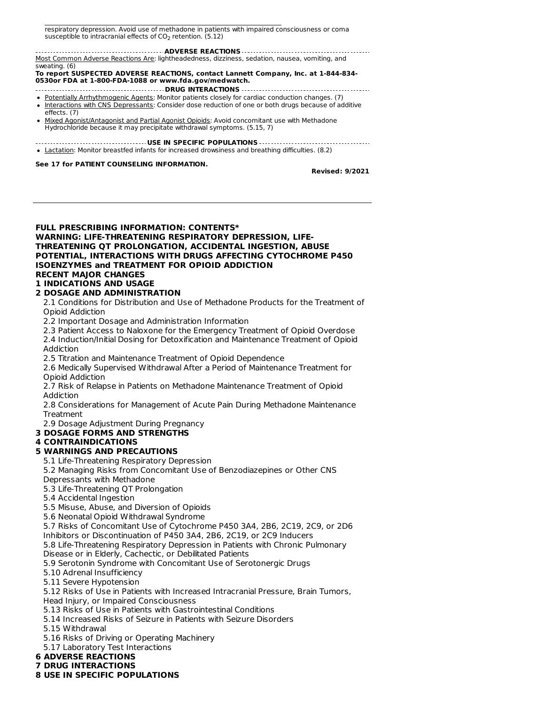Risks of Use in Patients with Head Injury and Increased Intracranial Pressure: Monitor for sedation and respiratory depression. Avoid use of methadone in patients with impaired consciousness or coma susceptible to intracranial effects of CO<sub>2</sub> retention. (5.12)

**ADVERSE REACTIONS** Most Common Adverse Reactions Are: lightheadedness, dizziness, sedation, nausea, vomiting, and sweating. (6)

**To report SUSPECTED ADVERSE REACTIONS, contact Lannett Company, Inc. at 1-844-834- 0530or FDA at 1-800-FDA-1088 or www.fda.gov/medwatch.**

- **DRUG INTERACTIONS**
- Potentially Arrhythmogenic Agents: Monitor patients closely for cardiac conduction changes. (7)
- Interactions with CNS Depressants: Consider dose reduction of one or both drugs because of additive effects. (7)
- Mixed Agonist/Antagonist and Partial Agonist Opioids: Avoid concomitant use with Methadone Hydrochloride because it may precipitate withdrawal symptoms. (5.15, 7)
- **USE IN SPECIFIC POPULATIONS**
- Lactation: Monitor breastfed infants for increased drowsiness and breathing difficulties. (8.2)

**See 17 for PATIENT COUNSELING INFORMATION.**

**Revised: 9/2021**

### **FULL PRESCRIBING INFORMATION: CONTENTS\* WARNING: LIFE-THREATENING RESPIRATORY DEPRESSION, LIFE-THREATENING QT PROLONGATION, ACCIDENTAL INGESTION, ABUSE POTENTIAL, INTERACTIONS WITH DRUGS AFFECTING CYTOCHROME P450 ISOENZYMES and TREATMENT FOR OPIOID ADDICTION RECENT MAJOR CHANGES 1 INDICATIONS AND USAGE**

### **2 DOSAGE AND ADMINISTRATION**

2.1 Conditions for Distribution and Use of Methadone Products for the Treatment of Opioid Addiction

2.2 Important Dosage and Administration Information

2.3 Patient Access to Naloxone for the Emergency Treatment of Opioid Overdose 2.4 Induction/Initial Dosing for Detoxification and Maintenance Treatment of Opioid Addiction

2.5 Titration and Maintenance Treatment of Opioid Dependence

2.6 Medically Supervised Withdrawal After a Period of Maintenance Treatment for Opioid Addiction

2.7 Risk of Relapse in Patients on Methadone Maintenance Treatment of Opioid Addiction

2.8 Considerations for Management of Acute Pain During Methadone Maintenance **Treatment** 

2.9 Dosage Adjustment During Pregnancy

### **3 DOSAGE FORMS AND STRENGTHS**

# **4 CONTRAINDICATIONS**

# **5 WARNINGS AND PRECAUTIONS**

5.1 Life-Threatening Respiratory Depression

5.2 Managing Risks from Concomitant Use of Benzodiazepines or Other CNS

Depressants with Methadone

5.3 Life-Threatening QT Prolongation

5.4 Accidental Ingestion

5.5 Misuse, Abuse, and Diversion of Opioids

5.6 Neonatal Opioid Withdrawal Syndrome

5.7 Risks of Concomitant Use of Cytochrome P450 3A4, 2B6, 2C19, 2C9, or 2D6

Inhibitors or Discontinuation of P450 3A4, 2B6, 2C19, or 2C9 Inducers 5.8 Life-Threatening Respiratory Depression in Patients with Chronic Pulmonary

Disease or in Elderly, Cachectic, or Debilitated Patients

5.9 Serotonin Syndrome with Concomitant Use of Serotonergic Drugs

5.10 Adrenal Insufficiency

5.11 Severe Hypotension

5.12 Risks of Use in Patients with Increased Intracranial Pressure, Brain Tumors,

Head Injury, or Impaired Consciousness

5.13 Risks of Use in Patients with Gastrointestinal Conditions

5.14 Increased Risks of Seizure in Patients with Seizure Disorders

5.15 Withdrawal

5.16 Risks of Driving or Operating Machinery

5.17 Laboratory Test Interactions

**6 ADVERSE REACTIONS**

**7 DRUG INTERACTIONS**

**8 USE IN SPECIFIC POPULATIONS**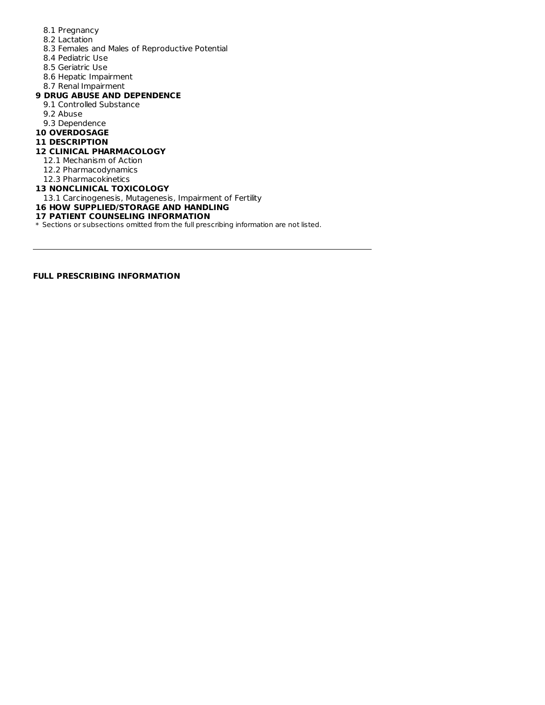- 8.1 Pregnancy
- 8.2 Lactation
- 8.3 Females and Males of Reproductive Potential
- 8.4 Pediatric Use
- 8.5 Geriatric Use
- 8.6 Hepatic Impairment
- 8.7 Renal Impairment

### **9 DRUG ABUSE AND DEPENDENCE**

- 9.1 Controlled Substance
- 9.2 Abuse
- 9.3 Dependence
- **10 OVERDOSAGE**

#### **11 DESCRIPTION**

#### **12 CLINICAL PHARMACOLOGY**

- 12.1 Mechanism of Action
- 12.2 Pharmacodynamics
- 12.3 Pharmacokinetics

#### **13 NONCLINICAL TOXICOLOGY**

13.1 Carcinogenesis, Mutagenesis, Impairment of Fertility

**16 HOW SUPPLIED/STORAGE AND HANDLING**

### **17 PATIENT COUNSELING INFORMATION**

\* Sections or subsections omitted from the full prescribing information are not listed.

**FULL PRESCRIBING INFORMATION**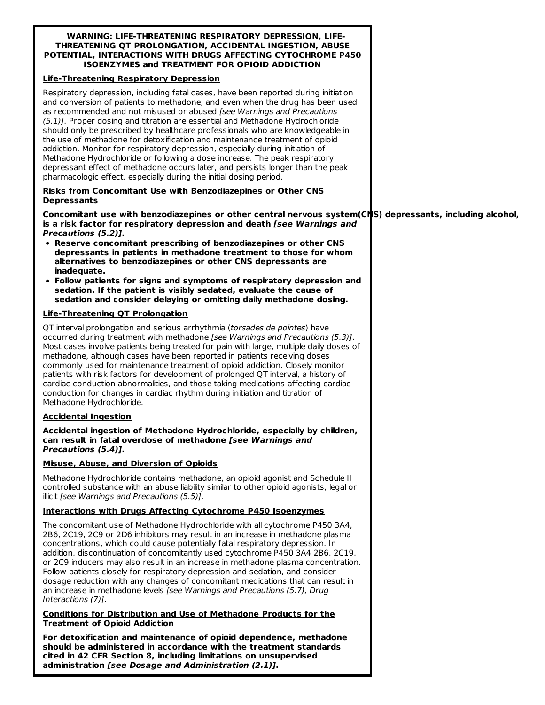#### **WARNING: LIFE-THREATENING RESPIRATORY DEPRESSION, LIFE-THREATENING QT PROLONGATION, ACCIDENTAL INGESTION, ABUSE POTENTIAL, INTERACTIONS WITH DRUGS AFFECTING CYTOCHROME P450 ISOENZYMES and TREATMENT FOR OPIOID ADDICTION**

### **Life-Threatening Respiratory Depression**

Respiratory depression, including fatal cases, have been reported during initiation and conversion of patients to methadone, and even when the drug has been used as recommended and not misused or abused [see Warnings and Precautions (5.1)]. Proper dosing and titration are essential and Methadone Hydrochloride should only be prescribed by healthcare professionals who are knowledgeable in the use of methadone for detoxification and maintenance treatment of opioid addiction. Monitor for respiratory depression, especially during initiation of Methadone Hydrochloride or following a dose increase. The peak respiratory depressant effect of methadone occurs later, and persists longer than the peak pharmacologic effect, especially during the initial dosing period.

### **Risks from Concomitant Use with Benzodiazepines or Other CNS Depressants**

**Concomitant use with benzodiazepines or other central nervous system(CNS) depressants, including alcohol, is a risk factor for respiratory depression and death [see Warnings and Precautions (5.2)].**

- **Reserve concomitant prescribing of benzodiazepines or other CNS depressants in patients in methadone treatment to those for whom alternatives to benzodiazepines or other CNS depressants are inadequate.**
- **Follow patients for signs and symptoms of respiratory depression and sedation. If the patient is visibly sedated, evaluate the cause of sedation and consider delaying or omitting daily methadone dosing.**

### **Life-Threatening QT Prolongation**

QT interval prolongation and serious arrhythmia (torsades de pointes) have occurred during treatment with methadone [see Warnings and Precautions (5.3)]. Most cases involve patients being treated for pain with large, multiple daily doses of methadone, although cases have been reported in patients receiving doses commonly used for maintenance treatment of opioid addiction. Closely monitor patients with risk factors for development of prolonged QT interval, a history of cardiac conduction abnormalities, and those taking medications affecting cardiac conduction for changes in cardiac rhythm during initiation and titration of Methadone Hydrochloride.

### **Accidental Ingestion**

**Accidental ingestion of Methadone Hydrochloride, especially by children, can result in fatal overdose of methadone [see Warnings and Precautions (5.4)].**

### **Misuse, Abuse, and Diversion of Opioids**

Methadone Hydrochloride contains methadone, an opioid agonist and Schedule II controlled substance with an abuse liability similar to other opioid agonists, legal or illicit [see Warnings and Precautions (5.5)].

### **Interactions with Drugs Affecting Cytochrome P450 Isoenzymes**

The concomitant use of Methadone Hydrochloride with all cytochrome P450 3A4, 2B6, 2C19, 2C9 or 2D6 inhibitors may result in an increase in methadone plasma concentrations, which could cause potentially fatal respiratory depression. In addition, discontinuation of concomitantly used cytochrome P450 3A4 2B6, 2C19, or 2C9 inducers may also result in an increase in methadone plasma concentration. Follow patients closely for respiratory depression and sedation, and consider dosage reduction with any changes of concomitant medications that can result in an increase in methadone levels [see Warnings and Precautions (5.7), Drug Interactions (7)].

### **Conditions for Distribution and Use of Methadone Products for the Treatment of Opioid Addiction**

**For detoxification and maintenance of opioid dependence, methadone should be administered in accordance with the treatment standards cited in 42 CFR Section 8, including limitations on unsupervised administration [see Dosage and Administration (2.1)].**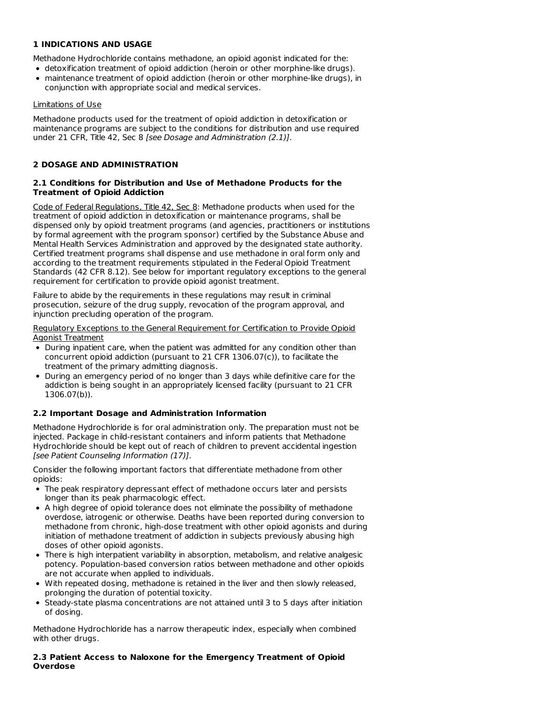### **1 INDICATIONS AND USAGE**

Methadone Hydrochloride contains methadone, an opioid agonist indicated for the:

- detoxification treatment of opioid addiction (heroin or other morphine-like drugs).
- maintenance treatment of opioid addiction (heroin or other morphine-like drugs), in conjunction with appropriate social and medical services.

### Limitations of Use

Methadone products used for the treatment of opioid addiction in detoxification or maintenance programs are subject to the conditions for distribution and use required under 21 CFR, Title 42, Sec 8 [see Dosage and Administration (2.1)].

### **2 DOSAGE AND ADMINISTRATION**

### **2.1 Conditions for Distribution and Use of Methadone Products for the Treatment of Opioid Addiction**

Code of Federal Regulations, Title 42, Sec 8: Methadone products when used for the treatment of opioid addiction in detoxification or maintenance programs, shall be dispensed only by opioid treatment programs (and agencies, practitioners or institutions by formal agreement with the program sponsor) certified by the Substance Abuse and Mental Health Services Administration and approved by the designated state authority. Certified treatment programs shall dispense and use methadone in oral form only and according to the treatment requirements stipulated in the Federal Opioid Treatment Standards (42 CFR 8.12). See below for important regulatory exceptions to the general requirement for certification to provide opioid agonist treatment.

Failure to abide by the requirements in these regulations may result in criminal prosecution, seizure of the drug supply, revocation of the program approval, and injunction precluding operation of the program.

Regulatory Exceptions to the General Requirement for Certification to Provide Opioid Agonist Treatment

- During inpatient care, when the patient was admitted for any condition other than concurrent opioid addiction (pursuant to 21 CFR 1306.07(c)), to facilitate the treatment of the primary admitting diagnosis.
- During an emergency period of no longer than 3 days while definitive care for the addiction is being sought in an appropriately licensed facility (pursuant to 21 CFR 1306.07(b)).

### **2.2 Important Dosage and Administration Information**

Methadone Hydrochloride is for oral administration only. The preparation must not be injected. Package in child-resistant containers and inform patients that Methadone Hydrochloride should be kept out of reach of children to prevent accidental ingestion [see Patient Counseling Information (17)].

Consider the following important factors that differentiate methadone from other opioids:

- The peak respiratory depressant effect of methadone occurs later and persists longer than its peak pharmacologic effect.
- A high degree of opioid tolerance does not eliminate the possibility of methadone overdose, iatrogenic or otherwise. Deaths have been reported during conversion to methadone from chronic, high-dose treatment with other opioid agonists and during initiation of methadone treatment of addiction in subjects previously abusing high doses of other opioid agonists.
- There is high interpatient variability in absorption, metabolism, and relative analgesic potency. Population-based conversion ratios between methadone and other opioids are not accurate when applied to individuals.
- With repeated dosing, methadone is retained in the liver and then slowly released, prolonging the duration of potential toxicity.
- Steady-state plasma concentrations are not attained until 3 to 5 days after initiation of dosing.

Methadone Hydrochloride has a narrow therapeutic index, especially when combined with other drugs.

### **2.3 Patient Access to Naloxone for the Emergency Treatment of Opioid Overdose**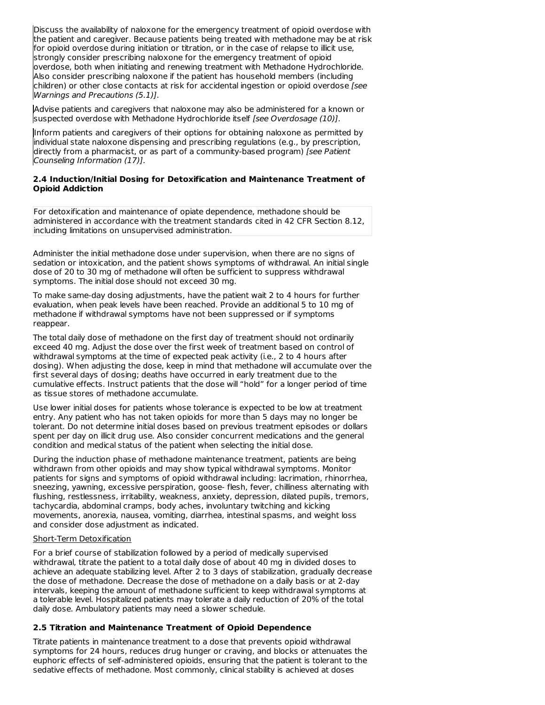Discuss the availability of naloxone for the emergency treatment of opioid overdose with the patient and caregiver. Because patients being treated with methadone may be at risk for opioid overdose during initiation or titration, or in the case of relapse to illicit use, strongly consider prescribing naloxone for the emergency treatment of opioid overdose, both when initiating and renewing treatment with Methadone Hydrochloride. Also consider prescribing naloxone if the patient has household members (including children) or other close contacts at risk for accidental ingestion or opioid overdose [see Warnings and Precautions (5.1)].

Advise patients and caregivers that naloxone may also be administered for a known or suspected overdose with Methadone Hydrochloride itself [see Overdosage (10)].

Inform patients and caregivers of their options for obtaining naloxone as permitted by individual state naloxone dispensing and prescribing regulations (e.g., by prescription, directly from a pharmacist, or as part of a community-based program) [see Patient Counseling Information (17)].

### **2.4 Induction/Initial Dosing for Detoxification and Maintenance Treatment of Opioid Addiction**

For detoxification and maintenance of opiate dependence, methadone should be administered in accordance with the treatment standards cited in 42 CFR Section 8.12, including limitations on unsupervised administration.

Administer the initial methadone dose under supervision, when there are no signs of sedation or intoxication, and the patient shows symptoms of withdrawal. An initial single dose of 20 to 30 mg of methadone will often be sufficient to suppress withdrawal symptoms. The initial dose should not exceed 30 mg.

To make same-day dosing adjustments, have the patient wait 2 to 4 hours for further evaluation, when peak levels have been reached. Provide an additional 5 to 10 mg of methadone if withdrawal symptoms have not been suppressed or if symptoms reappear.

The total daily dose of methadone on the first day of treatment should not ordinarily exceed 40 mg. Adjust the dose over the first week of treatment based on control of withdrawal symptoms at the time of expected peak activity (i.e., 2 to 4 hours after dosing). When adjusting the dose, keep in mind that methadone will accumulate over the first several days of dosing; deaths have occurred in early treatment due to the cumulative effects. Instruct patients that the dose will "hold" for a longer period of time as tissue stores of methadone accumulate.

Use lower initial doses for patients whose tolerance is expected to be low at treatment entry. Any patient who has not taken opioids for more than 5 days may no longer be tolerant. Do not determine initial doses based on previous treatment episodes or dollars spent per day on illicit drug use. Also consider concurrent medications and the general condition and medical status of the patient when selecting the initial dose.

During the induction phase of methadone maintenance treatment, patients are being withdrawn from other opioids and may show typical withdrawal symptoms. Monitor patients for signs and symptoms of opioid withdrawal including: lacrimation, rhinorrhea, sneezing, yawning, excessive perspiration, goose- flesh, fever, chilliness alternating with flushing, restlessness, irritability, weakness, anxiety, depression, dilated pupils, tremors, tachycardia, abdominal cramps, body aches, involuntary twitching and kicking movements, anorexia, nausea, vomiting, diarrhea, intestinal spasms, and weight loss and consider dose adjustment as indicated.

#### Short-Term Detoxification

For a brief course of stabilization followed by a period of medically supervised withdrawal, titrate the patient to a total daily dose of about 40 mg in divided doses to achieve an adequate stabilizing level. After 2 to 3 days of stabilization, gradually decrease the dose of methadone. Decrease the dose of methadone on a daily basis or at 2-day intervals, keeping the amount of methadone sufficient to keep withdrawal symptoms at a tolerable level. Hospitalized patients may tolerate a daily reduction of 20% of the total daily dose. Ambulatory patients may need a slower schedule.

### **2.5 Titration and Maintenance Treatment of Opioid Dependence**

Titrate patients in maintenance treatment to a dose that prevents opioid withdrawal symptoms for 24 hours, reduces drug hunger or craving, and blocks or attenuates the euphoric effects of self-administered opioids, ensuring that the patient is tolerant to the sedative effects of methadone. Most commonly, clinical stability is achieved at doses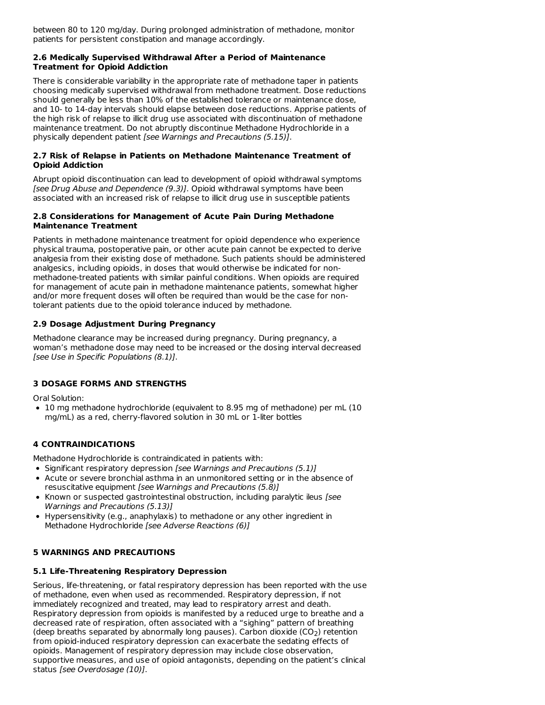between 80 to 120 mg/day. During prolonged administration of methadone, monitor patients for persistent constipation and manage accordingly.

#### **2.6 Medically Supervised Withdrawal After a Period of Maintenance Treatment for Opioid Addiction**

There is considerable variability in the appropriate rate of methadone taper in patients choosing medically supervised withdrawal from methadone treatment. Dose reductions should generally be less than 10% of the established tolerance or maintenance dose, and 10- to 14-day intervals should elapse between dose reductions. Apprise patients of the high risk of relapse to illicit drug use associated with discontinuation of methadone maintenance treatment. Do not abruptly discontinue Methadone Hydrochloride in a physically dependent patient [see Warnings and Precautions (5.15)].

### **2.7 Risk of Relapse in Patients on Methadone Maintenance Treatment of Opioid Addiction**

Abrupt opioid discontinuation can lead to development of opioid withdrawal symptoms [see Drug Abuse and Dependence (9.3)]. Opioid withdrawal symptoms have been associated with an increased risk of relapse to illicit drug use in susceptible patients

### **2.8 Considerations for Management of Acute Pain During Methadone Maintenance Treatment**

Patients in methadone maintenance treatment for opioid dependence who experience physical trauma, postoperative pain, or other acute pain cannot be expected to derive analgesia from their existing dose of methadone. Such patients should be administered analgesics, including opioids, in doses that would otherwise be indicated for non methadone-treated patients with similar painful conditions. When opioids are required for management of acute pain in methadone maintenance patients, somewhat higher and/or more frequent doses will often be required than would be the case for nontolerant patients due to the opioid tolerance induced by methadone.

### **2.9 Dosage Adjustment During Pregnancy**

Methadone clearance may be increased during pregnancy. During pregnancy, a woman's methadone dose may need to be increased or the dosing interval decreased [see Use in Specific Populations (8.1)].

## **3 DOSAGE FORMS AND STRENGTHS**

Oral Solution:

10 mg methadone hydrochloride (equivalent to 8.95 mg of methadone) per mL (10 mg/mL) as a red, cherry-flavored solution in 30 mL or 1-liter bottles

## **4 CONTRAINDICATIONS**

Methadone Hydrochloride is contraindicated in patients with:

- Significant respiratory depression [see Warnings and Precautions (5.1)]
- Acute or severe bronchial asthma in an unmonitored setting or in the absence of resuscitative equipment [see Warnings and Precautions (5.8)]
- Known or suspected gastrointestinal obstruction, including paralytic ileus [see Warnings and Precautions (5.13)]
- Hypersensitivity (e.g., anaphylaxis) to methadone or any other ingredient in Methadone Hydrochloride [see Adverse Reactions (6)]

## **5 WARNINGS AND PRECAUTIONS**

### **5.1 Life-Threatening Respiratory Depression**

Serious, life-threatening, or fatal respiratory depression has been reported with the use of methadone, even when used as recommended. Respiratory depression, if not immediately recognized and treated, may lead to respiratory arrest and death. Respiratory depression from opioids is manifested by a reduced urge to breathe and a decreased rate of respiration, often associated with a "sighing" pattern of breathing (deep breaths separated by abnormally long pauses). Carbon dioxide (CO<sub>2</sub>) retention from opioid-induced respiratory depression can exacerbate the sedating effects of opioids. Management of respiratory depression may include close observation, supportive measures, and use of opioid antagonists, depending on the patient's clinical status [see Overdosage (10)].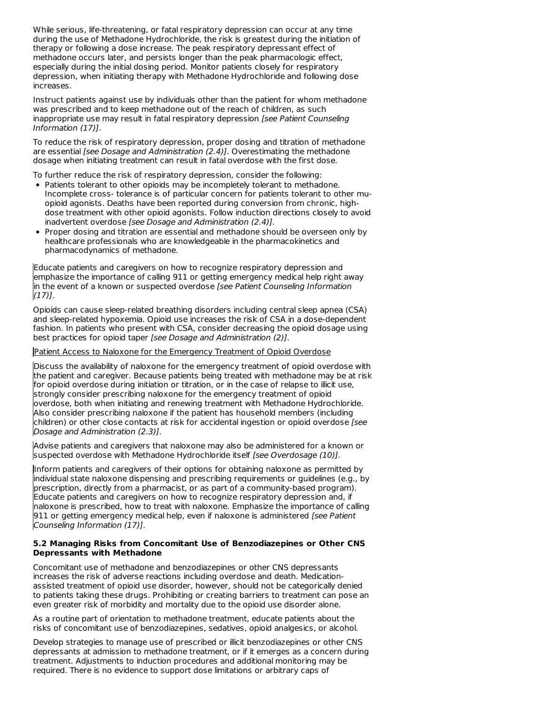While serious, life-threatening, or fatal respiratory depression can occur at any time during the use of Methadone Hydrochloride, the risk is greatest during the initiation of therapy or following a dose increase. The peak respiratory depressant effect of methadone occurs later, and persists longer than the peak pharmacologic effect, especially during the initial dosing period. Monitor patients closely for respiratory depression, when initiating therapy with Methadone Hydrochloride and following dose increases.

Instruct patients against use by individuals other than the patient for whom methadone was prescribed and to keep methadone out of the reach of children, as such inappropriate use may result in fatal respiratory depression [see Patient Counseling Information (17)].

To reduce the risk of respiratory depression, proper dosing and titration of methadone are essential [see Dosage and Administration (2.4)]. Overestimating the methadone dosage when initiating treatment can result in fatal overdose with the first dose.

To further reduce the risk of respiratory depression, consider the following:

- Patients tolerant to other opioids may be incompletely tolerant to methadone. Incomplete cross- tolerance is of particular concern for patients tolerant to other muopioid agonists. Deaths have been reported during conversion from chronic, highdose treatment with other opioid agonists. Follow induction directions closely to avoid inadvertent overdose [see Dosage and Administration (2.4)].
- Proper dosing and titration are essential and methadone should be overseen only by healthcare professionals who are knowledgeable in the pharmacokinetics and pharmacodynamics of methadone.

Educate patients and caregivers on how to recognize respiratory depression and emphasize the importance of calling 911 or getting emergency medical help right away in the event of a known or suspected overdose [see Patient Counseling Information  $(17)$ ].

Opioids can cause sleep-related breathing disorders including central sleep apnea (CSA) and sleep-related hypoxemia. Opioid use increases the risk of CSA in a dose-dependent fashion. In patients who present with CSA, consider decreasing the opioid dosage using best practices for opioid taper [see Dosage and Administration (2)].

#### Patient Access to Naloxone for the Emergency Treatment of Opioid Overdose

Discuss the availability of naloxone for the emergency treatment of opioid overdose with the patient and caregiver. Because patients being treated with methadone may be at risk for opioid overdose during initiation or titration, or in the case of relapse to illicit use, strongly consider prescribing naloxone for the emergency treatment of opioid overdose, both when initiating and renewing treatment with Methadone Hydrochloride. Also consider prescribing naloxone if the patient has household members (including children) or other close contacts at risk for accidental ingestion or opioid overdose [see Dosage and Administration (2.3)].

Advise patients and caregivers that naloxone may also be administered for a known or suspected overdose with Methadone Hydrochloride itself [see Overdosage (10)].

Inform patients and caregivers of their options for obtaining naloxone as permitted by individual state naloxone dispensing and prescribing requirements or guidelines (e.g., by prescription, directly from a pharmacist, or as part of a community-based program). Educate patients and caregivers on how to recognize respiratory depression and, if naloxone is prescribed, how to treat with naloxone. Emphasize the importance of calling 911 or getting emergency medical help, even if naloxone is administered [see Patient Counseling Information (17)].

#### **5.2 Managing Risks from Concomitant Use of Benzodiazepines or Other CNS Depressants with Methadone**

Concomitant use of methadone and benzodiazepines or other CNS depressants increases the risk of adverse reactions including overdose and death. Medicationassisted treatment of opioid use disorder, however, should not be categorically denied to patients taking these drugs. Prohibiting or creating barriers to treatment can pose an even greater risk of morbidity and mortality due to the opioid use disorder alone.

As a routine part of orientation to methadone treatment, educate patients about the risks of concomitant use of benzodiazepines, sedatives, opioid analgesics, or alcohol.

Develop strategies to manage use of prescribed or illicit benzodiazepines or other CNS depressants at admission to methadone treatment, or if it emerges as a concern during treatment. Adjustments to induction procedures and additional monitoring may be required. There is no evidence to support dose limitations or arbitrary caps of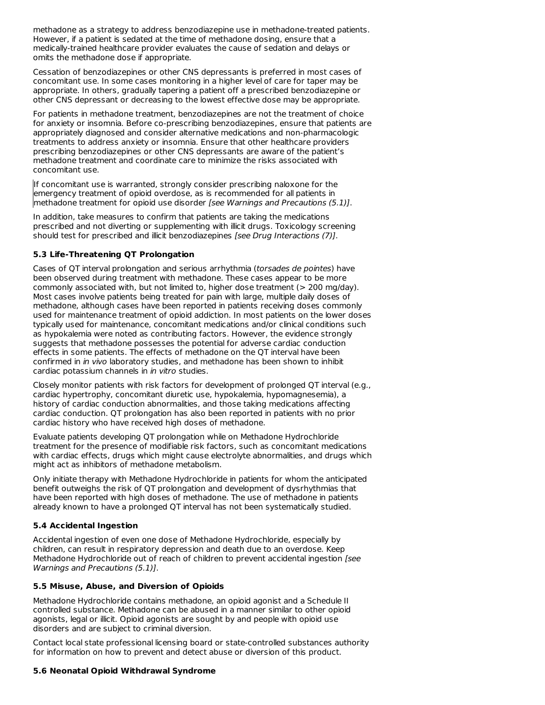methadone as a strategy to address benzodiazepine use in methadone-treated patients. However, if a patient is sedated at the time of methadone dosing, ensure that a medically-trained healthcare provider evaluates the cause of sedation and delays or omits the methadone dose if appropriate.

Cessation of benzodiazepines or other CNS depressants is preferred in most cases of concomitant use. In some cases monitoring in a higher level of care for taper may be appropriate. In others, gradually tapering a patient off a prescribed benzodiazepine or other CNS depressant or decreasing to the lowest effective dose may be appropriate.

For patients in methadone treatment, benzodiazepines are not the treatment of choice for anxiety or insomnia. Before co-prescribing benzodiazepines, ensure that patients are appropriately diagnosed and consider alternative medications and non-pharmacologic treatments to address anxiety or insomnia. Ensure that other healthcare providers prescribing benzodiazepines or other CNS depressants are aware of the patient's methadone treatment and coordinate care to minimize the risks associated with concomitant use.

If concomitant use is warranted, strongly consider prescribing naloxone for the emergency treatment of opioid overdose, as is recommended for all patients in methadone treatment for opioid use disorder [see Warnings and Precautions (5.1)].

In addition, take measures to confirm that patients are taking the medications prescribed and not diverting or supplementing with illicit drugs. Toxicology screening should test for prescribed and illicit benzodiazepines [see Drug Interactions (7)].

### **5.3 Life-Threatening QT Prolongation**

Cases of QT interval prolongation and serious arrhythmia (torsades de pointes) have been observed during treatment with methadone. These cases appear to be more commonly associated with, but not limited to, higher dose treatment (> 200 mg/day). Most cases involve patients being treated for pain with large, multiple daily doses of methadone, although cases have been reported in patients receiving doses commonly used for maintenance treatment of opioid addiction. In most patients on the lower doses typically used for maintenance, concomitant medications and/or clinical conditions such as hypokalemia were noted as contributing factors. However, the evidence strongly suggests that methadone possesses the potential for adverse cardiac conduction effects in some patients. The effects of methadone on the QT interval have been confirmed in in vivo laboratory studies, and methadone has been shown to inhibit cardiac potassium channels in in vitro studies.

Closely monitor patients with risk factors for development of prolonged QT interval (e.g., cardiac hypertrophy, concomitant diuretic use, hypokalemia, hypomagnesemia), a history of cardiac conduction abnormalities, and those taking medications affecting cardiac conduction. QT prolongation has also been reported in patients with no prior cardiac history who have received high doses of methadone.

Evaluate patients developing QT prolongation while on Methadone Hydrochloride treatment for the presence of modifiable risk factors, such as concomitant medications with cardiac effects, drugs which might cause electrolyte abnormalities, and drugs which might act as inhibitors of methadone metabolism.

Only initiate therapy with Methadone Hydrochloride in patients for whom the anticipated benefit outweighs the risk of QT prolongation and development of dysrhythmias that have been reported with high doses of methadone. The use of methadone in patients already known to have a prolonged QT interval has not been systematically studied.

### **5.4 Accidental Ingestion**

Accidental ingestion of even one dose of Methadone Hydrochloride, especially by children, can result in respiratory depression and death due to an overdose. Keep Methadone Hydrochloride out of reach of children to prevent accidental ingestion [see Warnings and Precautions (5.1)].

### **5.5 Misuse, Abuse, and Diversion of Opioids**

Methadone Hydrochloride contains methadone, an opioid agonist and a Schedule II controlled substance. Methadone can be abused in a manner similar to other opioid agonists, legal or illicit. Opioid agonists are sought by and people with opioid use disorders and are subject to criminal diversion.

Contact local state professional licensing board or state-controlled substances authority for information on how to prevent and detect abuse or diversion of this product.

## **5.6 Neonatal Opioid Withdrawal Syndrome**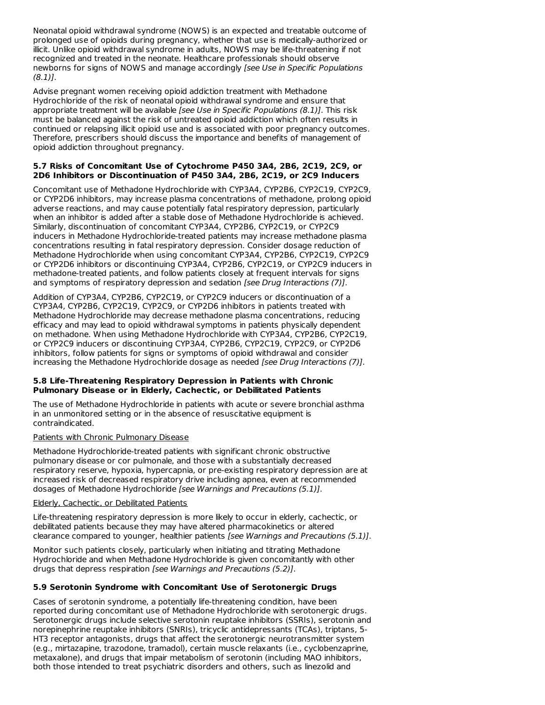Neonatal opioid withdrawal syndrome (NOWS) is an expected and treatable outcome of prolonged use of opioids during pregnancy, whether that use is medically-authorized or illicit. Unlike opioid withdrawal syndrome in adults, NOWS may be life-threatening if not recognized and treated in the neonate. Healthcare professionals should observe newborns for signs of NOWS and manage accordingly [see Use in Specific Populations  $(8.1)$ .

Advise pregnant women receiving opioid addiction treatment with Methadone Hydrochloride of the risk of neonatal opioid withdrawal syndrome and ensure that appropriate treatment will be available [see Use in Specific Populations (8.1)]. This risk must be balanced against the risk of untreated opioid addiction which often results in continued or relapsing illicit opioid use and is associated with poor pregnancy outcomes. Therefore, prescribers should discuss the importance and benefits of management of opioid addiction throughout pregnancy.

### **5.7 Risks of Concomitant Use of Cytochrome P450 3A4, 2B6, 2C19, 2C9, or 2D6 Inhibitors or Discontinuation of P450 3A4, 2B6, 2C19, or 2C9 Inducers**

Concomitant use of Methadone Hydrochloride with CYP3A4, CYP2B6, CYP2C19, CYP2C9, or CYP2D6 inhibitors, may increase plasma concentrations of methadone, prolong opioid adverse reactions, and may cause potentially fatal respiratory depression, particularly when an inhibitor is added after a stable dose of Methadone Hydrochloride is achieved. Similarly, discontinuation of concomitant CYP3A4, CYP2B6, CYP2C19, or CYP2C9 inducers in Methadone Hydrochloride-treated patients may increase methadone plasma concentrations resulting in fatal respiratory depression. Consider dosage reduction of Methadone Hydrochloride when using concomitant CYP3A4, CYP2B6, CYP2C19, CYP2C9 or CYP2D6 inhibitors or discontinuing CYP3A4, CYP2B6, CYP2C19, or CYP2C9 inducers in methadone-treated patients, and follow patients closely at frequent intervals for signs and symptoms of respiratory depression and sedation [see Drug Interactions (7)].

Addition of CYP3A4, CYP2B6, CYP2C19, or CYP2C9 inducers or discontinuation of a CYP3A4, CYP2B6, CYP2C19, CYP2C9, or CYP2D6 inhibitors in patients treated with Methadone Hydrochloride may decrease methadone plasma concentrations, reducing efficacy and may lead to opioid withdrawal symptoms in patients physically dependent on methadone. When using Methadone Hydrochloride with CYP3A4, CYP2B6, CYP2C19, or CYP2C9 inducers or discontinuing CYP3A4, CYP2B6, CYP2C19, CYP2C9, or CYP2D6 inhibitors, follow patients for signs or symptoms of opioid withdrawal and consider increasing the Methadone Hydrochloride dosage as needed [see Drug Interactions (7)].

### **5.8 Life-Threatening Respiratory Depression in Patients with Chronic Pulmonary Disease or in Elderly, Cachectic, or Debilitated Patients**

The use of Methadone Hydrochloride in patients with acute or severe bronchial asthma in an unmonitored setting or in the absence of resuscitative equipment is contraindicated.

### Patients with Chronic Pulmonary Disease

Methadone Hydrochloride-treated patients with significant chronic obstructive pulmonary disease or cor pulmonale, and those with a substantially decreased respiratory reserve, hypoxia, hypercapnia, or pre-existing respiratory depression are at increased risk of decreased respiratory drive including apnea, even at recommended dosages of Methadone Hydrochloride [see Warnings and Precautions (5.1)].

### Elderly, Cachectic, or Debilitated Patients

Life-threatening respiratory depression is more likely to occur in elderly, cachectic, or debilitated patients because they may have altered pharmacokinetics or altered clearance compared to younger, healthier patients [see Warnings and Precautions (5.1)].

Monitor such patients closely, particularly when initiating and titrating Methadone Hydrochloride and when Methadone Hydrochloride is given concomitantly with other drugs that depress respiration [see Warnings and Precautions (5.2)].

## **5.9 Serotonin Syndrome with Concomitant Use of Serotonergic Drugs**

Cases of serotonin syndrome, a potentially life-threatening condition, have been reported during concomitant use of Methadone Hydrochloride with serotonergic drugs. Serotonergic drugs include selective serotonin reuptake inhibitors (SSRIs), serotonin and norepinephrine reuptake inhibitors (SNRIs), tricyclic antidepressants (TCAs), triptans, 5- HT3 receptor antagonists, drugs that affect the serotonergic neurotransmitter system (e.g., mirtazapine, trazodone, tramadol), certain muscle relaxants (i.e., cyclobenzaprine, metaxalone), and drugs that impair metabolism of serotonin (including MAO inhibitors, both those intended to treat psychiatric disorders and others, such as linezolid and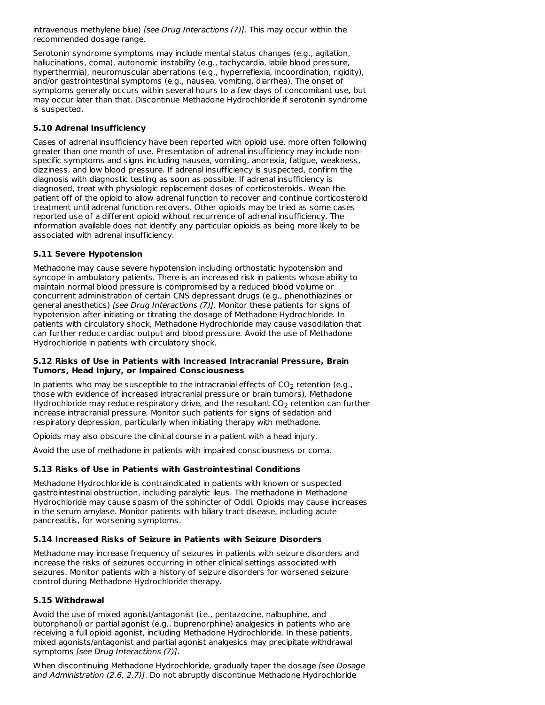intravenous methylene blue) [see Drug Interactions (7)]. This may occur within the recommended dosage range.

Serotonin syndrome symptoms may include mental status changes (e.g., agitation, hallucinations, coma), autonomic instability (e.g., tachycardia, labile blood pressure, hyperthermia), neuromuscular aberrations (e.g., hyperreflexia, incoordination, rigidity), and/or gastrointestinal symptoms (e.g., nausea, vomiting, diarrhea). The onset of symptoms generally occurs within several hours to a few days of concomitant use, but may occur later than that. Discontinue Methadone Hydrochloride if serotonin syndrome is suspected.

### **5.10 Adrenal Insufficiency**

Cases of adrenal insufficiency have been reported with opioid use, more often following greater than one month of use. Presentation of adrenal insufficiency may include nonspecific symptoms and signs including nausea, vomiting, anorexia, fatigue, weakness, dizziness, and low blood pressure. If adrenal insufficiency is suspected, confirm the diagnosis with diagnostic testing as soon as possible. If adrenal insufficiency is diagnosed, treat with physiologic replacement doses of corticosteroids. Wean the patient off of the opioid to allow adrenal function to recover and continue corticosteroid treatment until adrenal function recovers. Other opioids may be tried as some cases reported use of a different opioid without recurrence of adrenal insufficiency. The information available does not identify any particular opioids as being more likely to be associated with adrenal insufficiency.

#### **5.11 Severe Hypotension**

Methadone may cause severe hypotension including orthostatic hypotension and syncope in ambulatory patients. There is an increased risk in patients whose ability to maintain normal blood pressure is compromised by a reduced blood volume or concurrent administration of certain CNS depressant drugs (e.g., phenothiazines or general anesthetics) [see Drug Interactions (7)]. Monitor these patients for signs of hypotension after initiating or titrating the dosage of Methadone Hydrochloride. In patients with circulatory shock, Methadone Hydrochloride may cause vasodilation that can further reduce cardiac output and blood pressure. Avoid the use of Methadone Hydrochloride in patients with circulatory shock.

#### **5.12 Risks of Use in Patients with Increased Intracranial Pressure, Brain Tumors, Head Injury, or Impaired Consciousness**

In patients who may be susceptible to the intracranial effects of CO<sub>2</sub> retention (e.g., those with evidence of increased intracranial pressure or brain tumors), Methadone Hydrochloride may reduce respiratory drive, and the resultant CO $_2$  retention can further increase intracranial pressure. Monitor such patients for signs of sedation and respiratory depression, particularly when initiating therapy with methadone.

Opioids may also obscure the clinical course in a patient with a head injury.

Avoid the use of methadone in patients with impaired consciousness or coma.

#### **5.13 Risks of Use in Patients with Gastrointestinal Conditions**

Methadone Hydrochloride is contraindicated in patients with known or suspected gastrointestinal obstruction, including paralytic ileus. The methadone in Methadone Hydrochloride may cause spasm of the sphincter of Oddi. Opioids may cause increases in the serum amylase. Monitor patients with biliary tract disease, including acute pancreatitis, for worsening symptoms.

#### **5.14 Increased Risks of Seizure in Patients with Seizure Disorders**

Methadone may increase frequency of seizures in patients with seizure disorders and increase the risks of seizures occurring in other clinical settings associated with seizures. Monitor patients with a history of seizure disorders for worsened seizure control during Methadone Hydrochloride therapy.

#### **5.15 Withdrawal**

Avoid the use of mixed agonist/antagonist (i.e., pentazocine, nalbuphine, and butorphanol) or partial agonist (e.g., buprenorphine) analgesics in patients who are receiving a full opioid agonist, including Methadone Hydrochloride. In these patients, mixed agonists/antagonist and partial agonist analgesics may precipitate withdrawal symptoms [see Drug Interactions (7)].

When discontinuing Methadone Hydrochloride, gradually taper the dosage [see Dosage and Administration (2.6, 2.7)]. Do not abruptly discontinue Methadone Hydrochloride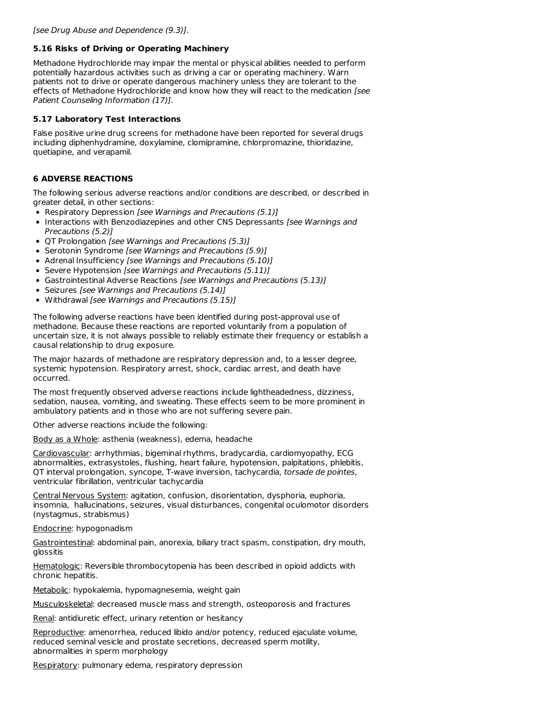### **5.16 Risks of Driving or Operating Machinery**

Methadone Hydrochloride may impair the mental or physical abilities needed to perform potentially hazardous activities such as driving a car or operating machinery. Warn patients not to drive or operate dangerous machinery unless they are tolerant to the effects of Methadone Hydrochloride and know how they will react to the medication [see Patient Counseling Information (17)].

### **5.17 Laboratory Test Interactions**

False positive urine drug screens for methadone have been reported for several drugs including diphenhydramine, doxylamine, clomipramine, chlorpromazine, thioridazine, quetiapine, and verapamil.

# **6 ADVERSE REACTIONS**

The following serious adverse reactions and/or conditions are described, or described in greater detail, in other sections:

- Respiratory Depression [see Warnings and Precautions (5.1)]
- Interactions with Benzodiazepines and other CNS Depressants [see Warnings and Precautions (5.2)]
- OT Prolongation [see Warnings and Precautions (5.3)]
- Serotonin Syndrome [see Warnings and Precautions (5.9)]
- Adrenal Insufficiency [see Warnings and Precautions (5.10)]
- Severe Hypotension [see Warnings and Precautions (5.11)]
- Gastrointestinal Adverse Reactions [see Warnings and Precautions (5.13)]
- Seizures [see Warnings and Precautions (5.14)]
- Withdrawal [see Warnings and Precautions (5.15)]

The following adverse reactions have been identified during post-approval use of methadone. Because these reactions are reported voluntarily from a population of uncertain size, it is not always possible to reliably estimate their frequency or establish a causal relationship to drug exposure.

The major hazards of methadone are respiratory depression and, to a lesser degree, systemic hypotension. Respiratory arrest, shock, cardiac arrest, and death have occurred.

The most frequently observed adverse reactions include lightheadedness, dizziness, sedation, nausea, vomiting, and sweating. These effects seem to be more prominent in ambulatory patients and in those who are not suffering severe pain.

Other adverse reactions include the following:

Body as a Whole: asthenia (weakness), edema, headache

Cardiovascular: arrhythmias, bigeminal rhythms, bradycardia, cardiomyopathy, ECG abnormalities, extrasystoles, flushing, heart failure, hypotension, palpitations, phlebitis, QT interval prolongation, syncope, T-wave inversion, tachycardia, torsade de pointes, ventricular fibrillation, ventricular tachycardia

Central Nervous System: agitation, confusion, disorientation, dysphoria, euphoria, insomnia, hallucinations, seizures, visual disturbances, congenital oculomotor disorders (nystagmus, strabismus)

#### Endocrine: hypogonadism

Gastrointestinal: abdominal pain, anorexia, biliary tract spasm, constipation, dry mouth, glossitis

Hematologic: Reversible thrombocytopenia has been described in opioid addicts with chronic hepatitis.

Metabolic: hypokalemia, hypomagnesemia, weight gain

Musculoskeletal: decreased muscle mass and strength, osteoporosis and fractures

Renal: antidiuretic effect, urinary retention or hesitancy

Reproductive: amenorrhea, reduced libido and/or potency, reduced ejaculate volume, reduced seminal vesicle and prostate secretions, decreased sperm motility, abnormalities in sperm morphology

Respiratory: pulmonary edema, respiratory depression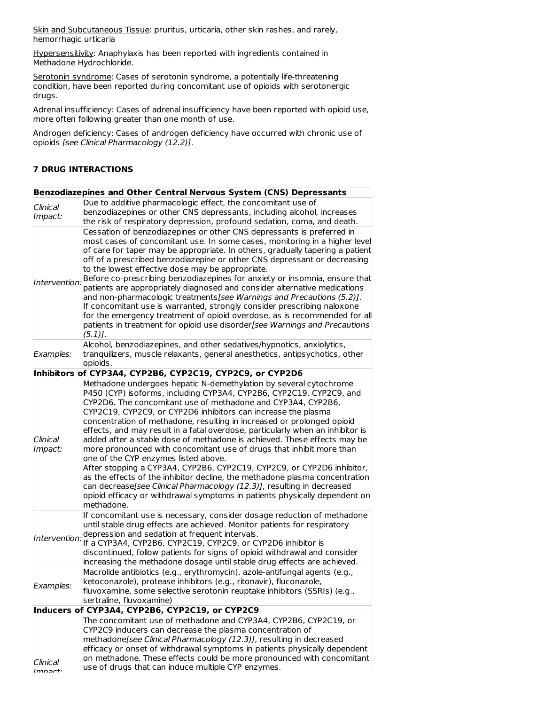Skin and Subcutaneous Tissue: pruritus, urticaria, other skin rashes, and rarely, hemorrhagic urticaria

Hypersensitivity: Anaphylaxis has been reported with ingredients contained in Methadone Hydrochloride.

Serotonin syndrome: Cases of serotonin syndrome, a potentially life-threatening condition, have been reported during concomitant use of opioids with serotonergic drugs.

Adrenal insufficiency: Cases of adrenal insufficiency have been reported with opioid use, more often following greater than one month of use.

Androgen deficiency: Cases of androgen deficiency have occurred with chronic use of opioids [see Clinical Pharmacology (12.2)].

### **7 DRUG INTERACTIONS**

|                     | Benzodiazepines and Other Central Nervous System (CNS) Depressants                                                                                                                                                                                                                                                                                                                                                                                                                                                                                                                                                                                                                                                                                                                                                                                                                                                                                               |
|---------------------|------------------------------------------------------------------------------------------------------------------------------------------------------------------------------------------------------------------------------------------------------------------------------------------------------------------------------------------------------------------------------------------------------------------------------------------------------------------------------------------------------------------------------------------------------------------------------------------------------------------------------------------------------------------------------------------------------------------------------------------------------------------------------------------------------------------------------------------------------------------------------------------------------------------------------------------------------------------|
| Clinical<br>Impact: | Due to additive pharmacologic effect, the concomitant use of<br>benzodiazepines or other CNS depressants, including alcohol, increases<br>the risk of respiratory depression, profound sedation, coma, and death.                                                                                                                                                                                                                                                                                                                                                                                                                                                                                                                                                                                                                                                                                                                                                |
| Intervention:       | Cessation of benzodiazepines or other CNS depressants is preferred in<br>most cases of concomitant use. In some cases, monitoring in a higher level<br>of care for taper may be appropriate. In others, gradually tapering a patient<br>off of a prescribed benzodiazepine or other CNS depressant or decreasing<br>to the lowest effective dose may be appropriate.<br>Before co-prescribing benzodiazepines for anxiety or insomnia, ensure that<br>patients are appropriately diagnosed and consider alternative medications<br>and non-pharmacologic treatments[see Warnings and Precautions (5.2)].<br>If concomitant use is warranted, strongly consider prescribing naloxone<br>for the emergency treatment of opioid overdose, as is recommended for all<br>patients in treatment for opioid use disorder[see Warnings and Precautions<br>$(5.1)$ .                                                                                                      |
| Examples:           | Alcohol, benzodiazepines, and other sedatives/hypnotics, anxiolytics,<br>tranquilizers, muscle relaxants, general anesthetics, antipsychotics, other<br>opioids.                                                                                                                                                                                                                                                                                                                                                                                                                                                                                                                                                                                                                                                                                                                                                                                                 |
|                     | Inhibitors of CYP3A4, CYP2B6, CYP2C19, CYP2C9, or CYP2D6                                                                                                                                                                                                                                                                                                                                                                                                                                                                                                                                                                                                                                                                                                                                                                                                                                                                                                         |
| Clinical<br>Impact: | Methadone undergoes hepatic N-demethylation by several cytochrome<br>P450 (CYP) isoforms, including CYP3A4, CYP2B6, CYP2C19, CYP2C9, and<br>CYP2D6. The concomitant use of methadone and CYP3A4, CYP2B6,<br>CYP2C19, CYP2C9, or CYP2D6 inhibitors can increase the plasma<br>concentration of methadone, resulting in increased or prolonged opioid<br>effects, and may result in a fatal overdose, particularly when an inhibitor is<br>added after a stable dose of methadone is achieved. These effects may be<br>more pronounced with concomitant use of drugs that inhibit more than<br>one of the CYP enzymes listed above.<br>After stopping a CYP3A4, CYP2B6, CYP2C19, CYP2C9, or CYP2D6 inhibitor,<br>as the effects of the inhibitor decline, the methadone plasma concentration<br>can decrease[see Clinical Pharmacology (12.3)], resulting in decreased<br>opioid efficacy or withdrawal symptoms in patients physically dependent on<br>methadone. |
| Intervention:       | If concomitant use is necessary, consider dosage reduction of methadone<br>until stable drug effects are achieved. Monitor patients for respiratory<br>depression and sedation at frequent intervals.<br>If a CYP3A4, CYP2B6, CYP2C19, CYP2C9, or CYP2D6 inhibitor is<br>discontinued, follow patients for signs of opioid withdrawal and consider<br>increasing the methadone dosage until stable drug effects are achieved.                                                                                                                                                                                                                                                                                                                                                                                                                                                                                                                                    |
| <i>Examples:</i>    | Macrolide antibiotics (e.g., erythromycin), azole-antifungal agents (e.g.,<br>ketoconazole), protease inhibitors (e.g., ritonavir), fluconazole,<br>fluvoxamine, some selective serotonin reuptake inhibitors (SSRIs) (e.g.,<br>sertraline, fluvoxamine)                                                                                                                                                                                                                                                                                                                                                                                                                                                                                                                                                                                                                                                                                                         |
|                     | Inducers of CYP3A4, CYP2B6, CYP2C19, or CYP2C9                                                                                                                                                                                                                                                                                                                                                                                                                                                                                                                                                                                                                                                                                                                                                                                                                                                                                                                   |
| Clinical<br>mnart.  | The concomitant use of methadone and CYP3A4, CYP2B6, CYP2C19, or<br>CYP2C9 inducers can decrease the plasma concentration of<br>methadone[see Clinical Pharmacology (12.3)], resulting in decreased<br>efficacy or onset of withdrawal symptoms in patients physically dependent<br>on methadone. These effects could be more pronounced with concomitant<br>use of drugs that can induce multiple CYP enzymes.                                                                                                                                                                                                                                                                                                                                                                                                                                                                                                                                                  |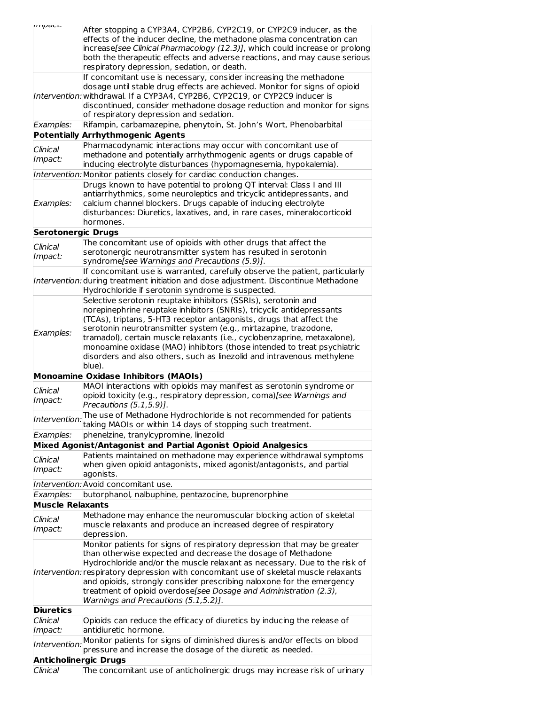| <i><b>IIII</b>pact.</i>                                                                                            | After stopping a CYP3A4, CYP2B6, CYP2C19, or CYP2C9 inducer, as the                                                                          |  |  |  |  |  |
|--------------------------------------------------------------------------------------------------------------------|----------------------------------------------------------------------------------------------------------------------------------------------|--|--|--|--|--|
|                                                                                                                    | effects of the inducer decline, the methadone plasma concentration can                                                                       |  |  |  |  |  |
|                                                                                                                    | increase[see Clinical Pharmacology (12.3)], which could increase or prolong                                                                  |  |  |  |  |  |
|                                                                                                                    | both the therapeutic effects and adverse reactions, and may cause serious                                                                    |  |  |  |  |  |
|                                                                                                                    | respiratory depression, sedation, or death.                                                                                                  |  |  |  |  |  |
|                                                                                                                    | If concomitant use is necessary, consider increasing the methadone                                                                           |  |  |  |  |  |
|                                                                                                                    | dosage until stable drug effects are achieved. Monitor for signs of opioid                                                                   |  |  |  |  |  |
| Intervention: withdrawal. If a CYP3A4, CYP2B6, CYP2C19, or CYP2C9 inducer is                                       |                                                                                                                                              |  |  |  |  |  |
| discontinued, consider methadone dosage reduction and monitor for signs<br>of respiratory depression and sedation. |                                                                                                                                              |  |  |  |  |  |
| Examples:                                                                                                          | Rifampin, carbamazepine, phenytoin, St. John's Wort, Phenobarbital                                                                           |  |  |  |  |  |
|                                                                                                                    | <b>Potentially Arrhythmogenic Agents</b>                                                                                                     |  |  |  |  |  |
| Clinical                                                                                                           | Pharmacodynamic interactions may occur with concomitant use of                                                                               |  |  |  |  |  |
| Impact:                                                                                                            | methadone and potentially arrhythmogenic agents or drugs capable of                                                                          |  |  |  |  |  |
|                                                                                                                    | inducing electrolyte disturbances (hypomagnesemia, hypokalemia).                                                                             |  |  |  |  |  |
|                                                                                                                    | Intervention: Monitor patients closely for cardiac conduction changes.                                                                       |  |  |  |  |  |
|                                                                                                                    | Drugs known to have potential to prolong QT interval: Class I and III                                                                        |  |  |  |  |  |
|                                                                                                                    | antiarrhythmics, some neuroleptics and tricyclic antidepressants, and                                                                        |  |  |  |  |  |
| Examples:                                                                                                          | calcium channel blockers. Drugs capable of inducing electrolyte<br>disturbances: Diuretics, laxatives, and, in rare cases, mineralocorticoid |  |  |  |  |  |
|                                                                                                                    | hormones.                                                                                                                                    |  |  |  |  |  |
| <b>Serotonergic Drugs</b>                                                                                          |                                                                                                                                              |  |  |  |  |  |
|                                                                                                                    | The concomitant use of opioids with other drugs that affect the                                                                              |  |  |  |  |  |
| Clinical                                                                                                           | serotonergic neurotransmitter system has resulted in serotonin                                                                               |  |  |  |  |  |
| Impact:                                                                                                            | syndrome[see Warnings and Precautions (5.9)].                                                                                                |  |  |  |  |  |
|                                                                                                                    | If concomitant use is warranted, carefully observe the patient, particularly                                                                 |  |  |  |  |  |
|                                                                                                                    | Intervention: during treatment initiation and dose adjustment. Discontinue Methadone                                                         |  |  |  |  |  |
|                                                                                                                    | Hydrochloride if serotonin syndrome is suspected.                                                                                            |  |  |  |  |  |
|                                                                                                                    | Selective serotonin reuptake inhibitors (SSRIs), serotonin and                                                                               |  |  |  |  |  |
|                                                                                                                    | norepinephrine reuptake inhibitors (SNRIs), tricyclic antidepressants                                                                        |  |  |  |  |  |
|                                                                                                                    | (TCAs), triptans, 5-HT3 receptor antagonists, drugs that affect the<br>serotonin neurotransmitter system (e.g., mirtazapine, trazodone,      |  |  |  |  |  |
| Examples:                                                                                                          | tramadol), certain muscle relaxants (i.e., cyclobenzaprine, metaxalone),                                                                     |  |  |  |  |  |
|                                                                                                                    | monoamine oxidase (MAO) inhibitors (those intended to treat psychiatric                                                                      |  |  |  |  |  |
|                                                                                                                    | disorders and also others, such as linezolid and intravenous methylene                                                                       |  |  |  |  |  |
|                                                                                                                    | blue).                                                                                                                                       |  |  |  |  |  |
|                                                                                                                    | <b>Monoamine Oxidase Inhibitors (MAOIs)</b>                                                                                                  |  |  |  |  |  |
| Clinical                                                                                                           | MAOI interactions with opioids may manifest as serotonin syndrome or                                                                         |  |  |  |  |  |
| Impact:                                                                                                            | opioid toxicity (e.g., respiratory depression, coma)[see Warnings and                                                                        |  |  |  |  |  |
|                                                                                                                    | Precautions $(5.1, 5.9)$ ].                                                                                                                  |  |  |  |  |  |
| Intervention:                                                                                                      | The use of Methadone Hydrochloride is not recommended for patients<br>taking MAOIs or within 14 days of stopping such treatment.             |  |  |  |  |  |
| Examples:                                                                                                          | phenelzine, tranylcypromine, linezolid                                                                                                       |  |  |  |  |  |
|                                                                                                                    | Mixed Agonist/Antagonist and Partial Agonist Opioid Analgesics                                                                               |  |  |  |  |  |
|                                                                                                                    | Patients maintained on methadone may experience withdrawal symptoms                                                                          |  |  |  |  |  |
| Clinical                                                                                                           | when given opioid antagonists, mixed agonist/antagonists, and partial                                                                        |  |  |  |  |  |
| Impact:                                                                                                            | agonists.                                                                                                                                    |  |  |  |  |  |
|                                                                                                                    | Intervention: Avoid concomitant use.                                                                                                         |  |  |  |  |  |
| Examples:                                                                                                          | butorphanol, nalbuphine, pentazocine, buprenorphine                                                                                          |  |  |  |  |  |
| <b>Muscle Relaxants</b>                                                                                            |                                                                                                                                              |  |  |  |  |  |
| Clinical                                                                                                           | Methadone may enhance the neuromuscular blocking action of skeletal                                                                          |  |  |  |  |  |
| Impact:                                                                                                            | muscle relaxants and produce an increased degree of respiratory                                                                              |  |  |  |  |  |
|                                                                                                                    | depression.                                                                                                                                  |  |  |  |  |  |
|                                                                                                                    |                                                                                                                                              |  |  |  |  |  |
|                                                                                                                    | Monitor patients for signs of respiratory depression that may be greater                                                                     |  |  |  |  |  |
|                                                                                                                    | than otherwise expected and decrease the dosage of Methadone                                                                                 |  |  |  |  |  |
|                                                                                                                    | Hydrochloride and/or the muscle relaxant as necessary. Due to the risk of                                                                    |  |  |  |  |  |
|                                                                                                                    | Intervention: respiratory depression with concomitant use of skeletal muscle relaxants                                                       |  |  |  |  |  |
|                                                                                                                    | and opioids, strongly consider prescribing naloxone for the emergency<br>treatment of opioid overdose[see Dosage and Administration (2.3),   |  |  |  |  |  |
|                                                                                                                    | Warnings and Precautions (5.1,5.2)].                                                                                                         |  |  |  |  |  |
| <b>Diuretics</b>                                                                                                   |                                                                                                                                              |  |  |  |  |  |
| Clinical                                                                                                           | Opioids can reduce the efficacy of diuretics by inducing the release of                                                                      |  |  |  |  |  |
| Impact:                                                                                                            | antidiuretic hormone.                                                                                                                        |  |  |  |  |  |
| Intervention:                                                                                                      | Monitor patients for signs of diminished diuresis and/or effects on blood                                                                    |  |  |  |  |  |
|                                                                                                                    | pressure and increase the dosage of the diuretic as needed.                                                                                  |  |  |  |  |  |
| <b>Anticholinergic Drugs</b><br>Clinical                                                                           | The concomitant use of anticholinergic drugs may increase risk of urinary                                                                    |  |  |  |  |  |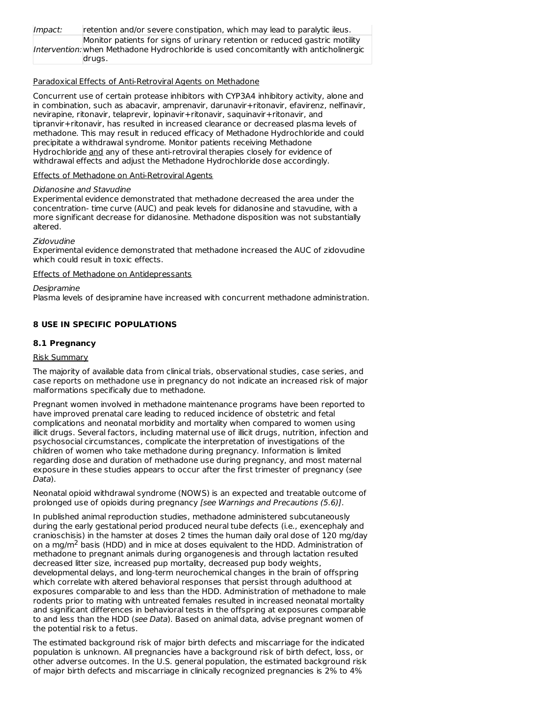| Impact: | retention and/or severe constipation, which may lead to paralytic ileus.              |
|---------|---------------------------------------------------------------------------------------|
|         | Monitor patients for signs of urinary retention or reduced gastric motility           |
|         | Intervention: when Methadone Hydrochloride is used concomitantly with anticholinergic |
|         | drugs.                                                                                |

#### Paradoxical Effects of Anti-Retroviral Agents on Methadone

Concurrent use of certain protease inhibitors with CYP3A4 inhibitory activity, alone and in combination, such as abacavir, amprenavir, darunavir+ritonavir, efavirenz, nelfinavir, nevirapine, ritonavir, telaprevir, lopinavir+ritonavir, saquinavir+ritonavir, and tipranvir+ritonavir, has resulted in increased clearance or decreased plasma levels of methadone. This may result in reduced efficacy of Methadone Hydrochloride and could precipitate a withdrawal syndrome. Monitor patients receiving Methadone Hydrochloride and any of these anti-retroviral therapies closely for evidence of withdrawal effects and adjust the Methadone Hydrochloride dose accordingly.

### Effects of Methadone on Anti-Retroviral Agents

### Didanosine and Stavudine

Experimental evidence demonstrated that methadone decreased the area under the concentration- time curve (AUC) and peak levels for didanosine and stavudine, with a more significant decrease for didanosine. Methadone disposition was not substantially altered.

### Zidovudine

Experimental evidence demonstrated that methadone increased the AUC of zidovudine which could result in toxic effects.

### Effects of Methadone on Antidepressants

Desipramine

Plasma levels of desipramine have increased with concurrent methadone administration.

### **8 USE IN SPECIFIC POPULATIONS**

### **8.1 Pregnancy**

### Risk Summary

The majority of available data from clinical trials, observational studies, case series, and case reports on methadone use in pregnancy do not indicate an increased risk of major malformations specifically due to methadone.

Pregnant women involved in methadone maintenance programs have been reported to have improved prenatal care leading to reduced incidence of obstetric and fetal complications and neonatal morbidity and mortality when compared to women using illicit drugs. Several factors, including maternal use of illicit drugs, nutrition, infection and psychosocial circumstances, complicate the interpretation of investigations of the children of women who take methadone during pregnancy. Information is limited regarding dose and duration of methadone use during pregnancy, and most maternal exposure in these studies appears to occur after the first trimester of pregnancy (see Data).

Neonatal opioid withdrawal syndrome (NOWS) is an expected and treatable outcome of prolonged use of opioids during pregnancy [see Warnings and Precautions (5.6)].

In published animal reproduction studies, methadone administered subcutaneously during the early gestational period produced neural tube defects (i.e., exencephaly and cranioschisis) in the hamster at doses 2 times the human daily oral dose of 120 mg/day on a mg/m<sup>2</sup> basis (HDD) and in mice at doses equivalent to the HDD. Administration of methadone to pregnant animals during organogenesis and through lactation resulted decreased litter size, increased pup mortality, decreased pup body weights, developmental delays, and long-term neurochemical changes in the brain of offspring which correlate with altered behavioral responses that persist through adulthood at exposures comparable to and less than the HDD. Administration of methadone to male rodents prior to mating with untreated females resulted in increased neonatal mortality and significant differences in behavioral tests in the offspring at exposures comparable to and less than the HDD (see Data). Based on animal data, advise pregnant women of the potential risk to a fetus.

The estimated background risk of major birth defects and miscarriage for the indicated population is unknown. All pregnancies have a background risk of birth defect, loss, or other adverse outcomes. In the U.S. general population, the estimated background risk of major birth defects and miscarriage in clinically recognized pregnancies is 2% to 4%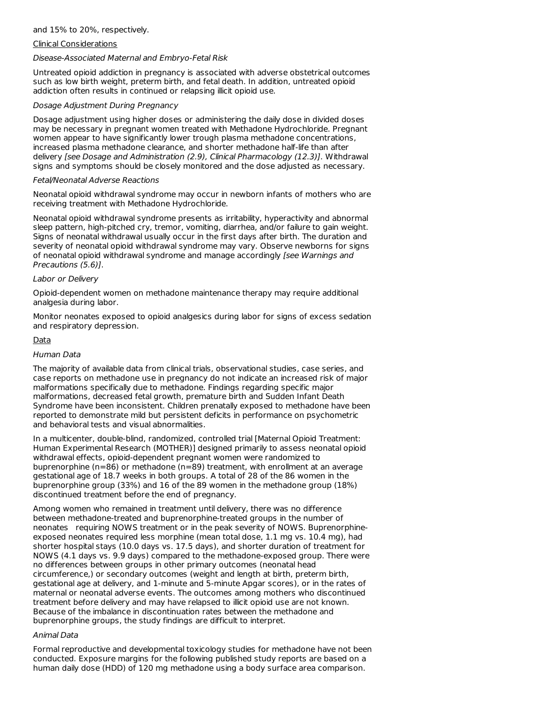### and 15% to 20%, respectively.

#### Clinical Considerations

#### Disease-Associated Maternal and Embryo-Fetal Risk

Untreated opioid addiction in pregnancy is associated with adverse obstetrical outcomes such as low birth weight, preterm birth, and fetal death. In addition, untreated opioid addiction often results in continued or relapsing illicit opioid use.

#### Dosage Adjustment During Pregnancy

Dosage adjustment using higher doses or administering the daily dose in divided doses may be necessary in pregnant women treated with Methadone Hydrochloride. Pregnant women appear to have significantly lower trough plasma methadone concentrations, increased plasma methadone clearance, and shorter methadone half-life than after delivery [see Dosage and Administration (2.9), Clinical Pharmacology (12.3)]. Withdrawal signs and symptoms should be closely monitored and the dose adjusted as necessary.

#### Fetal/Neonatal Adverse Reactions

Neonatal opioid withdrawal syndrome may occur in newborn infants of mothers who are receiving treatment with Methadone Hydrochloride.

Neonatal opioid withdrawal syndrome presents as irritability, hyperactivity and abnormal sleep pattern, high-pitched cry, tremor, vomiting, diarrhea, and/or failure to gain weight. Signs of neonatal withdrawal usually occur in the first days after birth. The duration and severity of neonatal opioid withdrawal syndrome may vary. Observe newborns for signs of neonatal opioid withdrawal syndrome and manage accordingly [see Warnings and Precautions (5.6)].

#### Labor or Delivery

Opioid-dependent women on methadone maintenance therapy may require additional analgesia during labor.

Monitor neonates exposed to opioid analgesics during labor for signs of excess sedation and respiratory depression.

#### Data

#### Human Data

The majority of available data from clinical trials, observational studies, case series, and case reports on methadone use in pregnancy do not indicate an increased risk of major malformations specifically due to methadone. Findings regarding specific major malformations, decreased fetal growth, premature birth and Sudden Infant Death Syndrome have been inconsistent. Children prenatally exposed to methadone have been reported to demonstrate mild but persistent deficits in performance on psychometric and behavioral tests and visual abnormalities.

In a multicenter, double-blind, randomized, controlled trial [Maternal Opioid Treatment: Human Experimental Research (MOTHER)] designed primarily to assess neonatal opioid withdrawal effects, opioid-dependent pregnant women were randomized to buprenorphine (n=86) or methadone (n=89) treatment, with enrollment at an average gestational age of 18.7 weeks in both groups. A total of 28 of the 86 women in the buprenorphine group (33%) and 16 of the 89 women in the methadone group (18%) discontinued treatment before the end of pregnancy.

Among women who remained in treatment until delivery, there was no difference between methadone-treated and buprenorphine-treated groups in the number of neonates requiring NOWS treatment or in the peak severity of NOWS. Buprenorphineexposed neonates required less morphine (mean total dose, 1.1 mg vs. 10.4 mg), had shorter hospital stays (10.0 days vs. 17.5 days), and shorter duration of treatment for NOWS (4.1 days vs. 9.9 days) compared to the methadone-exposed group. There were no differences between groups in other primary outcomes (neonatal head circumference,) or secondary outcomes (weight and length at birth, preterm birth, gestational age at delivery, and 1-minute and 5-minute Apgar scores), or in the rates of maternal or neonatal adverse events. The outcomes among mothers who discontinued treatment before delivery and may have relapsed to illicit opioid use are not known. Because of the imbalance in discontinuation rates between the methadone and buprenorphine groups, the study findings are difficult to interpret.

#### Animal Data

Formal reproductive and developmental toxicology studies for methadone have not been conducted. Exposure margins for the following published study reports are based on a human daily dose (HDD) of 120 mg methadone using a body surface area comparison.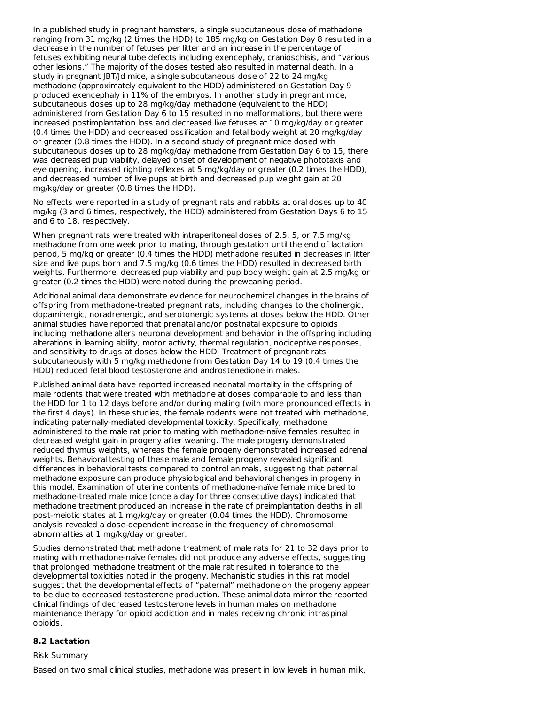In a published study in pregnant hamsters, a single subcutaneous dose of methadone ranging from 31 mg/kg (2 times the HDD) to 185 mg/kg on Gestation Day 8 resulted in a decrease in the number of fetuses per litter and an increase in the percentage of fetuses exhibiting neural tube defects including exencephaly, cranioschisis, and "various other lesions." The majority of the doses tested also resulted in maternal death. In a study in pregnant JBT/Jd mice, a single subcutaneous dose of 22 to 24 mg/kg methadone (approximately equivalent to the HDD) administered on Gestation Day 9 produced exencephaly in 11% of the embryos. In another study in pregnant mice, subcutaneous doses up to 28 mg/kg/day methadone (equivalent to the HDD) administered from Gestation Day 6 to 15 resulted in no malformations, but there were increased postimplantation loss and decreased live fetuses at 10 mg/kg/day or greater (0.4 times the HDD) and decreased ossification and fetal body weight at 20 mg/kg/day or greater (0.8 times the HDD). In a second study of pregnant mice dosed with subcutaneous doses up to 28 mg/kg/day methadone from Gestation Day 6 to 15, there was decreased pup viability, delayed onset of development of negative phototaxis and eye opening, increased righting reflexes at 5 mg/kg/day or greater (0.2 times the HDD), and decreased number of live pups at birth and decreased pup weight gain at 20 mg/kg/day or greater (0.8 times the HDD).

No effects were reported in a study of pregnant rats and rabbits at oral doses up to 40 mg/kg (3 and 6 times, respectively, the HDD) administered from Gestation Days 6 to 15 and 6 to 18, respectively.

When pregnant rats were treated with intraperitoneal doses of 2.5, 5, or 7.5 mg/kg methadone from one week prior to mating, through gestation until the end of lactation period, 5 mg/kg or greater (0.4 times the HDD) methadone resulted in decreases in litter size and live pups born and 7.5 mg/kg (0.6 times the HDD) resulted in decreased birth weights. Furthermore, decreased pup viability and pup body weight gain at 2.5 mg/kg or greater (0.2 times the HDD) were noted during the preweaning period.

Additional animal data demonstrate evidence for neurochemical changes in the brains of offspring from methadone-treated pregnant rats, including changes to the cholinergic, dopaminergic, noradrenergic, and serotonergic systems at doses below the HDD. Other animal studies have reported that prenatal and/or postnatal exposure to opioids including methadone alters neuronal development and behavior in the offspring including alterations in learning ability, motor activity, thermal regulation, nociceptive responses, and sensitivity to drugs at doses below the HDD. Treatment of pregnant rats subcutaneously with 5 mg/kg methadone from Gestation Day 14 to 19 (0.4 times the HDD) reduced fetal blood testosterone and androstenedione in males.

Published animal data have reported increased neonatal mortality in the offspring of male rodents that were treated with methadone at doses comparable to and less than the HDD for 1 to 12 days before and/or during mating (with more pronounced effects in the first 4 days). In these studies, the female rodents were not treated with methadone, indicating paternally-mediated developmental toxicity. Specifically, methadone administered to the male rat prior to mating with methadone-naïve females resulted in decreased weight gain in progeny after weaning. The male progeny demonstrated reduced thymus weights, whereas the female progeny demonstrated increased adrenal weights. Behavioral testing of these male and female progeny revealed significant differences in behavioral tests compared to control animals, suggesting that paternal methadone exposure can produce physiological and behavioral changes in progeny in this model. Examination of uterine contents of methadone-naïve female mice bred to methadone-treated male mice (once a day for three consecutive days) indicated that methadone treatment produced an increase in the rate of preimplantation deaths in all post-meiotic states at 1 mg/kg/day or greater (0.04 times the HDD). Chromosome analysis revealed a dose-dependent increase in the frequency of chromosomal abnormalities at 1 mg/kg/day or greater.

Studies demonstrated that methadone treatment of male rats for 21 to 32 days prior to mating with methadone-naïve females did not produce any adverse effects, suggesting that prolonged methadone treatment of the male rat resulted in tolerance to the developmental toxicities noted in the progeny. Mechanistic studies in this rat model suggest that the developmental effects of "paternal" methadone on the progeny appear to be due to decreased testosterone production. These animal data mirror the reported clinical findings of decreased testosterone levels in human males on methadone maintenance therapy for opioid addiction and in males receiving chronic intraspinal opioids.

#### **8.2 Lactation**

#### Risk Summary

Based on two small clinical studies, methadone was present in low levels in human milk,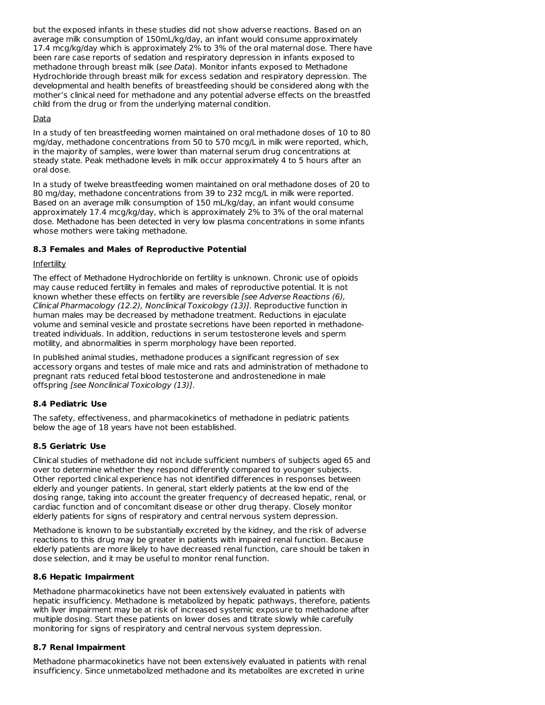but the exposed infants in these studies did not show adverse reactions. Based on an average milk consumption of 150mL/kg/day, an infant would consume approximately 17.4 mcg/kg/day which is approximately 2% to 3% of the oral maternal dose. There have been rare case reports of sedation and respiratory depression in infants exposed to methadone through breast milk (see Data). Monitor infants exposed to Methadone Hydrochloride through breast milk for excess sedation and respiratory depression. The developmental and health benefits of breastfeeding should be considered along with the mother's clinical need for methadone and any potential adverse effects on the breastfed child from the drug or from the underlying maternal condition.

### Data

In a study of ten breastfeeding women maintained on oral methadone doses of 10 to 80 mg/day, methadone concentrations from 50 to 570 mcg/L in milk were reported, which, in the majority of samples, were lower than maternal serum drug concentrations at steady state. Peak methadone levels in milk occur approximately 4 to 5 hours after an oral dose.

In a study of twelve breastfeeding women maintained on oral methadone doses of 20 to 80 mg/day, methadone concentrations from 39 to 232 mcg/L in milk were reported. Based on an average milk consumption of 150 mL/kg/day, an infant would consume approximately 17.4 mcg/kg/day, which is approximately 2% to 3% of the oral maternal dose. Methadone has been detected in very low plasma concentrations in some infants whose mothers were taking methadone.

### **8.3 Females and Males of Reproductive Potential**

### Infertility

The effect of Methadone Hydrochloride on fertility is unknown. Chronic use of opioids may cause reduced fertility in females and males of reproductive potential. It is not known whether these effects on fertility are reversible [see Adverse Reactions (6), Clinical Pharmacology (12.2), Nonclinical Toxicology (13)]. Reproductive function in human males may be decreased by methadone treatment. Reductions in ejaculate volume and seminal vesicle and prostate secretions have been reported in methadonetreated individuals. In addition, reductions in serum testosterone levels and sperm motility, and abnormalities in sperm morphology have been reported.

In published animal studies, methadone produces a significant regression of sex accessory organs and testes of male mice and rats and administration of methadone to pregnant rats reduced fetal blood testosterone and androstenedione in male offspring [see Nonclinical Toxicology (13)].

### **8.4 Pediatric Use**

The safety, effectiveness, and pharmacokinetics of methadone in pediatric patients below the age of 18 years have not been established.

### **8.5 Geriatric Use**

Clinical studies of methadone did not include sufficient numbers of subjects aged 65 and over to determine whether they respond differently compared to younger subjects. Other reported clinical experience has not identified differences in responses between elderly and younger patients. In general, start elderly patients at the low end of the dosing range, taking into account the greater frequency of decreased hepatic, renal, or cardiac function and of concomitant disease or other drug therapy. Closely monitor elderly patients for signs of respiratory and central nervous system depression.

Methadone is known to be substantially excreted by the kidney, and the risk of adverse reactions to this drug may be greater in patients with impaired renal function. Because elderly patients are more likely to have decreased renal function, care should be taken in dose selection, and it may be useful to monitor renal function.

#### **8.6 Hepatic Impairment**

Methadone pharmacokinetics have not been extensively evaluated in patients with hepatic insufficiency. Methadone is metabolized by hepatic pathways, therefore, patients with liver impairment may be at risk of increased systemic exposure to methadone after multiple dosing. Start these patients on lower doses and titrate slowly while carefully monitoring for signs of respiratory and central nervous system depression.

### **8.7 Renal Impairment**

Methadone pharmacokinetics have not been extensively evaluated in patients with renal insufficiency. Since unmetabolized methadone and its metabolites are excreted in urine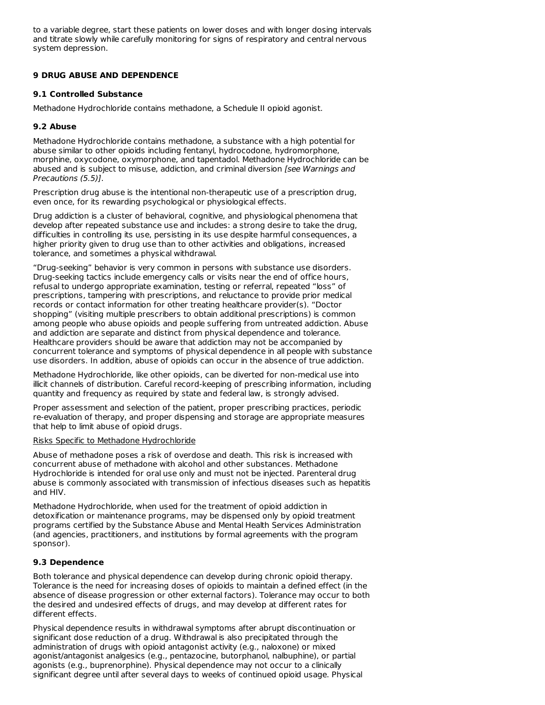to a variable degree, start these patients on lower doses and with longer dosing intervals and titrate slowly while carefully monitoring for signs of respiratory and central nervous system depression.

### **9 DRUG ABUSE AND DEPENDENCE**

### **9.1 Controlled Substance**

Methadone Hydrochloride contains methadone, a Schedule II opioid agonist.

### **9.2 Abuse**

Methadone Hydrochloride contains methadone, a substance with a high potential for abuse similar to other opioids including fentanyl, hydrocodone, hydromorphone, morphine, oxycodone, oxymorphone, and tapentadol. Methadone Hydrochloride can be abused and is subject to misuse, addiction, and criminal diversion [see Warnings and Precautions (5.5)].

Prescription drug abuse is the intentional non-therapeutic use of a prescription drug, even once, for its rewarding psychological or physiological effects.

Drug addiction is a cluster of behavioral, cognitive, and physiological phenomena that develop after repeated substance use and includes: a strong desire to take the drug, difficulties in controlling its use, persisting in its use despite harmful consequences, a higher priority given to drug use than to other activities and obligations, increased tolerance, and sometimes a physical withdrawal.

"Drug-seeking" behavior is very common in persons with substance use disorders. Drug-seeking tactics include emergency calls or visits near the end of office hours, refusal to undergo appropriate examination, testing or referral, repeated "loss" of prescriptions, tampering with prescriptions, and reluctance to provide prior medical records or contact information for other treating healthcare provider(s). "Doctor shopping" (visiting multiple prescribers to obtain additional prescriptions) is common among people who abuse opioids and people suffering from untreated addiction. Abuse and addiction are separate and distinct from physical dependence and tolerance. Healthcare providers should be aware that addiction may not be accompanied by concurrent tolerance and symptoms of physical dependence in all people with substance use disorders. In addition, abuse of opioids can occur in the absence of true addiction.

Methadone Hydrochloride, like other opioids, can be diverted for non-medical use into illicit channels of distribution. Careful record-keeping of prescribing information, including quantity and frequency as required by state and federal law, is strongly advised.

Proper assessment and selection of the patient, proper prescribing practices, periodic re-evaluation of therapy, and proper dispensing and storage are appropriate measures that help to limit abuse of opioid drugs.

#### Risks Specific to Methadone Hydrochloride

Abuse of methadone poses a risk of overdose and death. This risk is increased with concurrent abuse of methadone with alcohol and other substances. Methadone Hydrochloride is intended for oral use only and must not be injected. Parenteral drug abuse is commonly associated with transmission of infectious diseases such as hepatitis and HIV.

Methadone Hydrochloride, when used for the treatment of opioid addiction in detoxification or maintenance programs, may be dispensed only by opioid treatment programs certified by the Substance Abuse and Mental Health Services Administration (and agencies, practitioners, and institutions by formal agreements with the program sponsor).

### **9.3 Dependence**

Both tolerance and physical dependence can develop during chronic opioid therapy. Tolerance is the need for increasing doses of opioids to maintain a defined effect (in the absence of disease progression or other external factors). Tolerance may occur to both the desired and undesired effects of drugs, and may develop at different rates for different effects.

Physical dependence results in withdrawal symptoms after abrupt discontinuation or significant dose reduction of a drug. Withdrawal is also precipitated through the administration of drugs with opioid antagonist activity (e.g., naloxone) or mixed agonist/antagonist analgesics (e.g., pentazocine, butorphanol, nalbuphine), or partial agonists (e.g., buprenorphine). Physical dependence may not occur to a clinically significant degree until after several days to weeks of continued opioid usage. Physical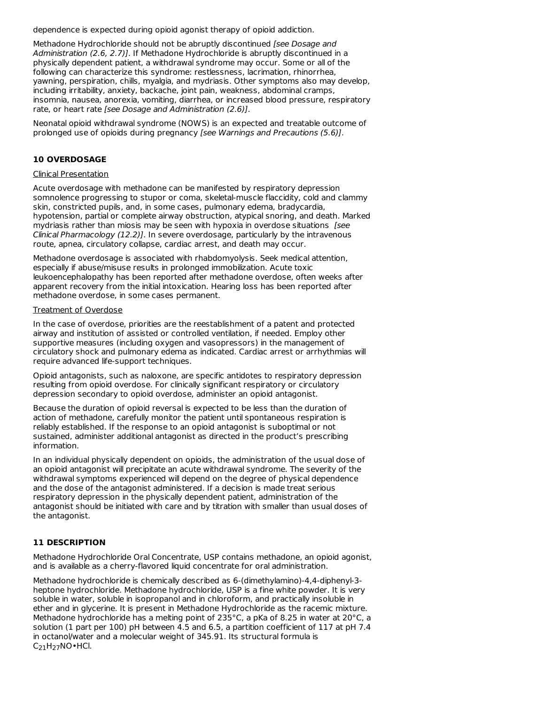dependence is expected during opioid agonist therapy of opioid addiction.

Methadone Hydrochloride should not be abruptly discontinued [see Dosage and Administration (2.6, 2.7)]. If Methadone Hydrochloride is abruptly discontinued in a physically dependent patient, a withdrawal syndrome may occur. Some or all of the following can characterize this syndrome: restlessness, lacrimation, rhinorrhea, yawning, perspiration, chills, myalgia, and mydriasis. Other symptoms also may develop, including irritability, anxiety, backache, joint pain, weakness, abdominal cramps, insomnia, nausea, anorexia, vomiting, diarrhea, or increased blood pressure, respiratory rate, or heart rate [see Dosage and Administration (2.6)].

Neonatal opioid withdrawal syndrome (NOWS) is an expected and treatable outcome of prolonged use of opioids during pregnancy [see Warnings and Precautions (5.6)].

### **10 OVERDOSAGE**

#### Clinical Presentation

Acute overdosage with methadone can be manifested by respiratory depression somnolence progressing to stupor or coma, skeletal-muscle flaccidity, cold and clammy skin, constricted pupils, and, in some cases, pulmonary edema, bradycardia, hypotension, partial or complete airway obstruction, atypical snoring, and death. Marked mydriasis rather than miosis may be seen with hypoxia in overdose situations [see Clinical Pharmacology  $(12.2)$ ]. In severe overdosage, particularly by the intravenous route, apnea, circulatory collapse, cardiac arrest, and death may occur.

Methadone overdosage is associated with rhabdomyolysis. Seek medical attention, especially if abuse/misuse results in prolonged immobilization. Acute toxic leukoencephalopathy has been reported after methadone overdose, often weeks after apparent recovery from the initial intoxication. Hearing loss has been reported after methadone overdose, in some cases permanent.

#### Treatment of Overdose

In the case of overdose, priorities are the reestablishment of a patent and protected airway and institution of assisted or controlled ventilation, if needed. Employ other supportive measures (including oxygen and vasopressors) in the management of circulatory shock and pulmonary edema as indicated. Cardiac arrest or arrhythmias will require advanced life-support techniques.

Opioid antagonists, such as naloxone, are specific antidotes to respiratory depression resulting from opioid overdose. For clinically significant respiratory or circulatory depression secondary to opioid overdose, administer an opioid antagonist.

Because the duration of opioid reversal is expected to be less than the duration of action of methadone, carefully monitor the patient until spontaneous respiration is reliably established. If the response to an opioid antagonist is suboptimal or not sustained, administer additional antagonist as directed in the product's prescribing information.

In an individual physically dependent on opioids, the administration of the usual dose of an opioid antagonist will precipitate an acute withdrawal syndrome. The severity of the withdrawal symptoms experienced will depend on the degree of physical dependence and the dose of the antagonist administered. If a decision is made treat serious respiratory depression in the physically dependent patient, administration of the antagonist should be initiated with care and by titration with smaller than usual doses of the antagonist.

#### **11 DESCRIPTION**

Methadone Hydrochloride Oral Concentrate, USP contains methadone, an opioid agonist, and is available as a cherry-flavored liquid concentrate for oral administration.

Methadone hydrochloride is chemically described as 6-(dimethylamino)-4,4-diphenyl-3 heptone hydrochloride. Methadone hydrochloride, USP is a fine white powder. It is very soluble in water, soluble in isopropanol and in chloroform, and practically insoluble in ether and in glycerine. It is present in Methadone Hydrochloride as the racemic mixture. Methadone hydrochloride has a melting point of 235°C, a pKa of 8.25 in water at 20°C, a solution (1 part per 100) pH between 4.5 and 6.5, a partition coefficient of 117 at pH 7.4 in octanol/water and a molecular weight of 345.91. Its structural formula is  $C_{21}H_{27}NO$ •HCl.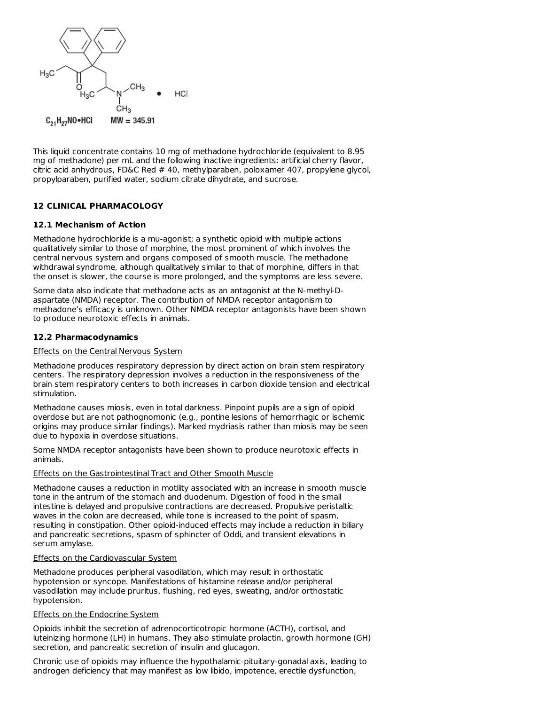

This liquid concentrate contains 10 mg of methadone hydrochloride (equivalent to 8.95 mg of methadone) per mL and the following inactive ingredients: artificial cherry flavor, citric acid anhydrous, FD&C Red # 40, methylparaben, poloxamer 407, propylene glycol, propylparaben, purified water, sodium citrate dihydrate, and sucrose.

### **12 CLINICAL PHARMACOLOGY**

### **12.1 Mechanism of Action**

Methadone hydrochloride is a mu-agonist; a synthetic opioid with multiple actions qualitatively similar to those of morphine, the most prominent of which involves the central nervous system and organs composed of smooth muscle. The methadone withdrawal syndrome, although qualitatively similar to that of morphine, differs in that the onset is slower, the course is more prolonged, and the symptoms are less severe.

Some data also indicate that methadone acts as an antagonist at the N-methyl-Daspartate (NMDA) receptor. The contribution of NMDA receptor antagonism to methadone's efficacy is unknown. Other NMDA receptor antagonists have been shown to produce neurotoxic effects in animals.

#### **12.2 Pharmacodynamics**

#### **Effects on the Central Nervous System**

Methadone produces respiratory depression by direct action on brain stem respiratory centers. The respiratory depression involves a reduction in the responsiveness of the brain stem respiratory centers to both increases in carbon dioxide tension and electrical stimulation.

Methadone causes miosis, even in total darkness. Pinpoint pupils are a sign of opioid overdose but are not pathognomonic (e.g., pontine lesions of hemorrhagic or ischemic origins may produce similar findings). Marked mydriasis rather than miosis may be seen due to hypoxia in overdose situations.

Some NMDA receptor antagonists have been shown to produce neurotoxic effects in animals.

#### Effects on the Gastrointestinal Tract and Other Smooth Muscle

Methadone causes a reduction in motility associated with an increase in smooth muscle tone in the antrum of the stomach and duodenum. Digestion of food in the small intestine is delayed and propulsive contractions are decreased. Propulsive peristaltic waves in the colon are decreased, while tone is increased to the point of spasm, resulting in constipation. Other opioid-induced effects may include a reduction in biliary and pancreatic secretions, spasm of sphincter of Oddi, and transient elevations in serum amylase.

### Effects on the Cardiovascular System

Methadone produces peripheral vasodilation, which may result in orthostatic hypotension or syncope. Manifestations of histamine release and/or peripheral vasodilation may include pruritus, flushing, red eyes, sweating, and/or orthostatic hypotension.

#### Effects on the Endocrine System

Opioids inhibit the secretion of adrenocorticotropic hormone (ACTH), cortisol, and luteinizing hormone (LH) in humans. They also stimulate prolactin, growth hormone (GH) secretion, and pancreatic secretion of insulin and glucagon.

Chronic use of opioids may influence the hypothalamic-pituitary-gonadal axis, leading to androgen deficiency that may manifest as low libido, impotence, erectile dysfunction,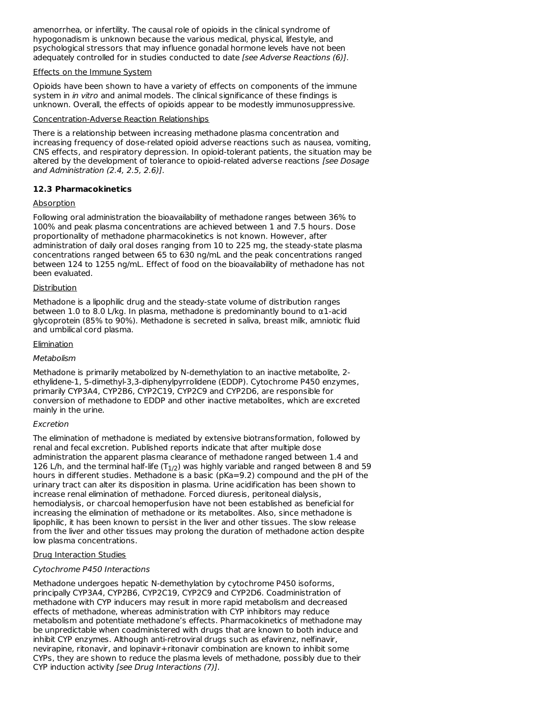amenorrhea, or infertility. The causal role of opioids in the clinical syndrome of hypogonadism is unknown because the various medical, physical, lifestyle, and psychological stressors that may influence gonadal hormone levels have not been adequately controlled for in studies conducted to date [see Adverse Reactions (6)].

### Effects on the Immune System

Opioids have been shown to have a variety of effects on components of the immune system in *in vitro* and animal models. The clinical significance of these findings is unknown. Overall, the effects of opioids appear to be modestly immunosuppressive.

#### Concentration-Adverse Reaction Relationships

There is a relationship between increasing methadone plasma concentration and increasing frequency of dose-related opioid adverse reactions such as nausea, vomiting, CNS effects, and respiratory depression. In opioid-tolerant patients, the situation may be altered by the development of tolerance to opioid-related adverse reactions [see Dosage and Administration (2.4, 2.5, 2.6)].

### **12.3 Pharmacokinetics**

### **Absorption**

Following oral administration the bioavailability of methadone ranges between 36% to 100% and peak plasma concentrations are achieved between 1 and 7.5 hours. Dose proportionality of methadone pharmacokinetics is not known. However, after administration of daily oral doses ranging from 10 to 225 mg, the steady-state plasma concentrations ranged between 65 to 630 ng/mL and the peak concentrations ranged between 124 to 1255 ng/mL. Effect of food on the bioavailability of methadone has not been evaluated.

#### Distribution

Methadone is a lipophilic drug and the steady-state volume of distribution ranges between 1.0 to 8.0 L/kg. In plasma, methadone is predominantly bound to  $\alpha$ 1-acid glycoprotein (85% to 90%). Methadone is secreted in saliva, breast milk, amniotic fluid and umbilical cord plasma.

### **Elimination**

### **Metabolism**

Methadone is primarily metabolized by N-demethylation to an inactive metabolite, 2 ethylidene-1, 5-dimethyl-3,3-diphenylpyrrolidene (EDDP). Cytochrome P450 enzymes, primarily CYP3A4, CYP2B6, CYP2C19, CYP2C9 and CYP2D6, are responsible for conversion of methadone to EDDP and other inactive metabolites, which are excreted mainly in the urine.

### Excretion

The elimination of methadone is mediated by extensive biotransformation, followed by renal and fecal excretion. Published reports indicate that after multiple dose administration the apparent plasma clearance of methadone ranged between 1.4 and 126 L/h, and the terminal half-life (T<sub>1/2</sub>) was highly variable and ranged between 8 and 59 hours in different studies. Methadone is a basic (pKa=9.2) compound and the pH of the urinary tract can alter its disposition in plasma. Urine acidification has been shown to increase renal elimination of methadone. Forced diuresis, peritoneal dialysis, hemodialysis, or charcoal hemoperfusion have not been established as beneficial for increasing the elimination of methadone or its metabolites. Also, since methadone is lipophilic, it has been known to persist in the liver and other tissues. The slow release from the liver and other tissues may prolong the duration of methadone action despite low plasma concentrations.

#### Drug Interaction Studies

#### Cytochrome P450 Interactions

Methadone undergoes hepatic N-demethylation by cytochrome P450 isoforms, principally CYP3A4, CYP2B6, CYP2C19, CYP2C9 and CYP2D6. Coadministration of methadone with CYP inducers may result in more rapid metabolism and decreased effects of methadone, whereas administration with CYP inhibitors may reduce metabolism and potentiate methadone's effects. Pharmacokinetics of methadone may be unpredictable when coadministered with drugs that are known to both induce and inhibit CYP enzymes. Although anti-retroviral drugs such as efavirenz, nelfinavir, nevirapine, ritonavir, and lopinavir+ritonavir combination are known to inhibit some CYPs, they are shown to reduce the plasma levels of methadone, possibly due to their CYP induction activity [see Drug Interactions (7)].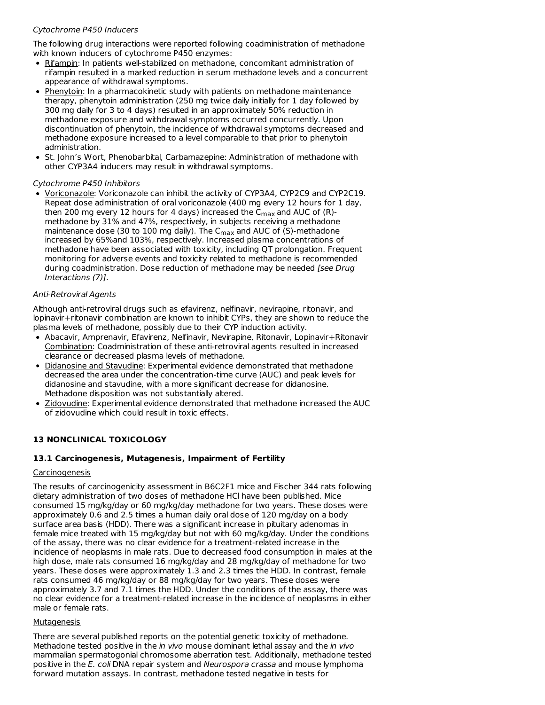### Cytochrome P450 Inducers

The following drug interactions were reported following coadministration of methadone with known inducers of cytochrome P450 enzymes:

- Rifampin: In patients well-stabilized on methadone, concomitant administration of rifampin resulted in a marked reduction in serum methadone levels and a concurrent appearance of withdrawal symptoms.
- Phenytoin: In a pharmacokinetic study with patients on methadone maintenance therapy, phenytoin administration (250 mg twice daily initially for 1 day followed by 300 mg daily for 3 to 4 days) resulted in an approximately 50% reduction in methadone exposure and withdrawal symptoms occurred concurrently. Upon discontinuation of phenytoin, the incidence of withdrawal symptoms decreased and methadone exposure increased to a level comparable to that prior to phenytoin administration.
- **St. John's Wort, Phenobarbital, Carbamazepine: Administration of methadone with** other CYP3A4 inducers may result in withdrawal symptoms.

### Cytochrome P450 Inhibitors

Voriconazole: Voriconazole can inhibit the activity of CYP3A4, CYP2C9 and CYP2C19. Repeat dose administration of oral voriconazole (400 mg every 12 hours for 1 day, then 200 mg every 12 hours for 4 days) increased the  $\mathsf{C}_{\mathsf{max}}$  and AUC of (R)methadone by 31% and 47%, respectively, in subjects receiving a methadone maintenance dose (30 to 100 mg daily). The C<sub>max</sub> and AUC of (S)-methadone increased by 65%and 103%, respectively. Increased plasma concentrations of methadone have been associated with toxicity, including QT prolongation. Frequent monitoring for adverse events and toxicity related to methadone is recommended during coadministration. Dose reduction of methadone may be needed [see Drug] Interactions (7)].

#### Anti-Retroviral Agents

Although anti-retroviral drugs such as efavirenz, nelfinavir, nevirapine, ritonavir, and lopinavir+ritonavir combination are known to inhibit CYPs, they are shown to reduce the plasma levels of methadone, possibly due to their CYP induction activity.

- Abacavir, Amprenavir, Efavirenz, Nelfinavir, Nevirapine, Ritonavir, Lopinavir+Ritonavir Combination: Coadministration of these anti-retroviral agents resulted in increased clearance or decreased plasma levels of methadone.
- Didanosine and Stavudine: Experimental evidence demonstrated that methadone decreased the area under the concentration-time curve (AUC) and peak levels for didanosine and stavudine, with a more significant decrease for didanosine. Methadone disposition was not substantially altered.
- Zidovudine: Experimental evidence demonstrated that methadone increased the AUC of zidovudine which could result in toxic effects.

### **13 NONCLINICAL TOXICOLOGY**

### **13.1 Carcinogenesis, Mutagenesis, Impairment of Fertility**

#### Carcinogenesis

The results of carcinogenicity assessment in B6C2F1 mice and Fischer 344 rats following dietary administration of two doses of methadone HCl have been published. Mice consumed 15 mg/kg/day or 60 mg/kg/day methadone for two years. These doses were approximately 0.6 and 2.5 times a human daily oral dose of 120 mg/day on a body surface area basis (HDD). There was a significant increase in pituitary adenomas in female mice treated with 15 mg/kg/day but not with 60 mg/kg/day. Under the conditions of the assay, there was no clear evidence for a treatment-related increase in the incidence of neoplasms in male rats. Due to decreased food consumption in males at the high dose, male rats consumed 16 mg/kg/day and 28 mg/kg/day of methadone for two years. These doses were approximately 1.3 and 2.3 times the HDD. In contrast, female rats consumed 46 mg/kg/day or 88 mg/kg/day for two years. These doses were approximately 3.7 and 7.1 times the HDD. Under the conditions of the assay, there was no clear evidence for a treatment-related increase in the incidence of neoplasms in either male or female rats.

#### Mutagenesis

There are several published reports on the potential genetic toxicity of methadone. Methadone tested positive in the in vivo mouse dominant lethal assay and the in vivo mammalian spermatogonial chromosome aberration test. Additionally, methadone tested positive in the E. coli DNA repair system and Neurospora crassa and mouse lymphoma forward mutation assays. In contrast, methadone tested negative in tests for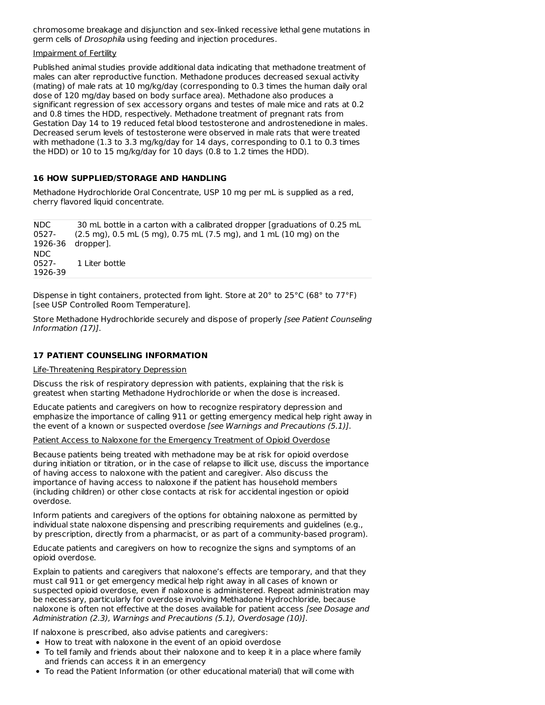chromosome breakage and disjunction and sex-linked recessive lethal gene mutations in germ cells of Drosophila using feeding and injection procedures.

#### Impairment of Fertility

Published animal studies provide additional data indicating that methadone treatment of males can alter reproductive function. Methadone produces decreased sexual activity (mating) of male rats at 10 mg/kg/day (corresponding to 0.3 times the human daily oral dose of 120 mg/day based on body surface area). Methadone also produces a significant regression of sex accessory organs and testes of male mice and rats at 0.2 and 0.8 times the HDD, respectively. Methadone treatment of pregnant rats from Gestation Day 14 to 19 reduced fetal blood testosterone and androstenedione in males. Decreased serum levels of testosterone were observed in male rats that were treated with methadone (1.3 to 3.3 mg/kg/day for 14 days, corresponding to 0.1 to 0.3 times the HDD) or 10 to 15 mg/kg/day for 10 days (0.8 to 1.2 times the HDD).

### **16 HOW SUPPLIED/STORAGE AND HANDLING**

Methadone Hydrochloride Oral Concentrate, USP 10 mg per mL is supplied as a red, cherry flavored liquid concentrate.

NDC 0527- 1926-36 dropper]. 30 mL bottle in a carton with a calibrated dropper [graduations of 0.25 mL (2.5 mg), 0.5 mL (5 mg), 0.75 mL (7.5 mg), and 1 mL (10 mg) on the NDC 0527- 1926-39 1 Liter bottle

Dispense in tight containers, protected from light. Store at 20° to 25°C (68° to 77°F) [see USP Controlled Room Temperature].

Store Methadone Hydrochloride securely and dispose of properly [see Patient Counseling Information (17)].

## **17 PATIENT COUNSELING INFORMATION**

Life-Threatening Respiratory Depression

Discuss the risk of respiratory depression with patients, explaining that the risk is greatest when starting Methadone Hydrochloride or when the dose is increased.

Educate patients and caregivers on how to recognize respiratory depression and emphasize the importance of calling 911 or getting emergency medical help right away in the event of a known or suspected overdose [see Warnings and Precautions (5.1)].

Patient Access to Naloxone for the Emergency Treatment of Opioid Overdose

Because patients being treated with methadone may be at risk for opioid overdose during initiation or titration, or in the case of relapse to illicit use, discuss the importance of having access to naloxone with the patient and caregiver. Also discuss the importance of having access to naloxone if the patient has household members (including children) or other close contacts at risk for accidental ingestion or opioid overdose.

Inform patients and caregivers of the options for obtaining naloxone as permitted by individual state naloxone dispensing and prescribing requirements and guidelines (e.g., by prescription, directly from a pharmacist, or as part of a community-based program).

Educate patients and caregivers on how to recognize the signs and symptoms of an opioid overdose.

Explain to patients and caregivers that naloxone's effects are temporary, and that they must call 911 or get emergency medical help right away in all cases of known or suspected opioid overdose, even if naloxone is administered. Repeat administration may be necessary, particularly for overdose involving Methadone Hydrochloride, because naloxone is often not effective at the doses available for patient access [see Dosage and Administration (2.3), Warnings and Precautions (5.1), Overdosage (10)].

If naloxone is prescribed, also advise patients and caregivers:

- How to treat with naloxone in the event of an opioid overdose
- To tell family and friends about their naloxone and to keep it in a place where family and friends can access it in an emergency
- To read the Patient Information (or other educational material) that will come with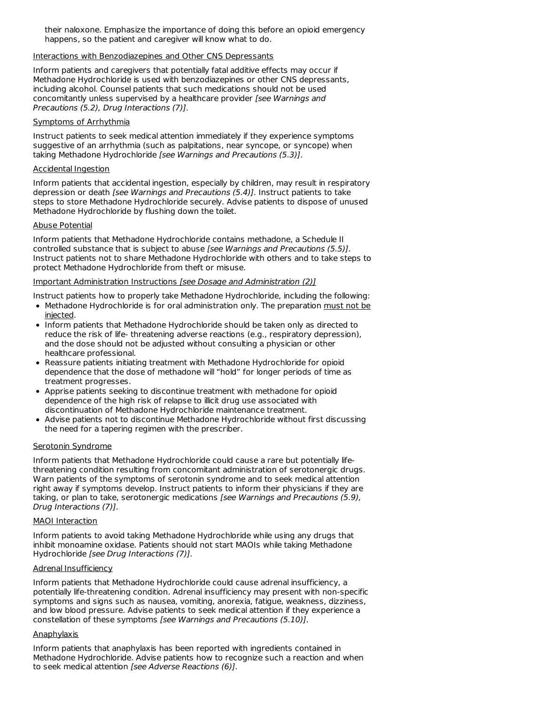their naloxone. Emphasize the importance of doing this before an opioid emergency happens, so the patient and caregiver will know what to do.

#### Interactions with Benzodiazepines and Other CNS Depressants

Inform patients and caregivers that potentially fatal additive effects may occur if Methadone Hydrochloride is used with benzodiazepines or other CNS depressants, including alcohol. Counsel patients that such medications should not be used concomitantly unless supervised by a healthcare provider [see Warnings and Precautions (5.2), Drug Interactions (7)].

#### Symptoms of Arrhythmia

Instruct patients to seek medical attention immediately if they experience symptoms suggestive of an arrhythmia (such as palpitations, near syncope, or syncope) when taking Methadone Hydrochloride [see Warnings and Precautions (5.3)].

### Accidental Ingestion

Inform patients that accidental ingestion, especially by children, may result in respiratory depression or death [see Warnings and Precautions (5.4)]. Instruct patients to take steps to store Methadone Hydrochloride securely. Advise patients to dispose of unused Methadone Hydrochloride by flushing down the toilet.

### Abuse Potential

Inform patients that Methadone Hydrochloride contains methadone, a Schedule II controlled substance that is subject to abuse [see Warnings and Precautions (5.5)]. Instruct patients not to share Methadone Hydrochloride with others and to take steps to protect Methadone Hydrochloride from theft or misuse.

### Important Administration Instructions [see Dosage and Administration (2)]

Instruct patients how to properly take Methadone Hydrochloride, including the following:

- Methadone Hydrochloride is for oral administration only. The preparation must not be injected.
- Inform patients that Methadone Hydrochloride should be taken only as directed to reduce the risk of life- threatening adverse reactions (e.g., respiratory depression), and the dose should not be adjusted without consulting a physician or other healthcare professional.
- Reassure patients initiating treatment with Methadone Hydrochloride for opioid dependence that the dose of methadone will "hold" for longer periods of time as treatment progresses.
- Apprise patients seeking to discontinue treatment with methadone for opioid dependence of the high risk of relapse to illicit drug use associated with discontinuation of Methadone Hydrochloride maintenance treatment.
- Advise patients not to discontinue Methadone Hydrochloride without first discussing the need for a tapering regimen with the prescriber.

### Serotonin Syndrome

Inform patients that Methadone Hydrochloride could cause a rare but potentially lifethreatening condition resulting from concomitant administration of serotonergic drugs. Warn patients of the symptoms of serotonin syndrome and to seek medical attention right away if symptoms develop. Instruct patients to inform their physicians if they are taking, or plan to take, serotonergic medications [see Warnings and Precautions (5.9), Drug Interactions (7)].

#### MAOI Interaction

Inform patients to avoid taking Methadone Hydrochloride while using any drugs that inhibit monoamine oxidase. Patients should not start MAOIs while taking Methadone Hydrochloride [see Drug Interactions (7)].

### Adrenal Insufficiency

Inform patients that Methadone Hydrochloride could cause adrenal insufficiency, a potentially life-threatening condition. Adrenal insufficiency may present with non-specific symptoms and signs such as nausea, vomiting, anorexia, fatigue, weakness, dizziness, and low blood pressure. Advise patients to seek medical attention if they experience a constellation of these symptoms [see Warnings and Precautions (5.10)].

### **Anaphylaxis**

Inform patients that anaphylaxis has been reported with ingredients contained in Methadone Hydrochloride. Advise patients how to recognize such a reaction and when to seek medical attention [see Adverse Reactions (6)].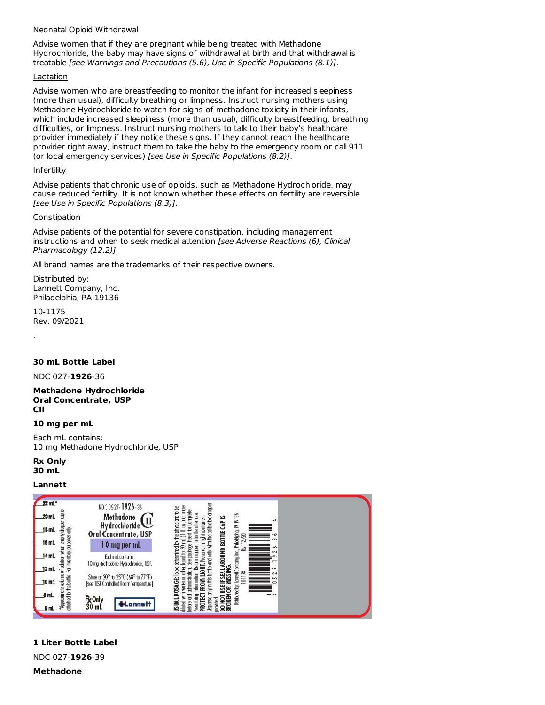#### Neonatal Opioid Withdrawal

Advise women that if they are pregnant while being treated with Methadone Hydrochloride, the baby may have signs of withdrawal at birth and that withdrawal is treatable [see Warnings and Precautions (5.6), Use in Specific Populations (8.1)].

#### Lactation

Advise women who are breastfeeding to monitor the infant for increased sleepiness (more than usual), difficulty breathing or limpness. Instruct nursing mothers using Methadone Hydrochloride to watch for signs of methadone toxicity in their infants, which include increased sleepiness (more than usual), difficulty breastfeeding, breathing difficulties, or limpness. Instruct nursing mothers to talk to their baby's healthcare provider immediately if they notice these signs. If they cannot reach the healthcare provider right away, instruct them to take the baby to the emergency room or call 911 (or local emergency services) [see Use in Specific Populations (8.2)].

#### **Infertility**

Advise patients that chronic use of opioids, such as Methadone Hydrochloride, may cause reduced fertility. It is not known whether these effects on fertility are reversible [see Use in Specific Populations (8.3)].

### **Constipation**

Advise patients of the potential for severe constipation, including management instructions and when to seek medical attention [see Adverse Reactions (6), Clinical Pharmacology (12.2)].

All brand names are the trademarks of their respective owners.

Distributed by: Lannett Company, Inc. Philadelphia, PA 19136

10-1175 Rev. 09/2021

.

### **30 mL Bottle Label**

NDC 027-**1926**-36

#### **Methadone Hydrochloride Oral Concentrate, USP CII**

#### **10 mg per mL**

Each mL contains: 10 mg Methadone Hydrochloride, USP

**Rx Only 30 mL**

### **Lannett**

| 22 ml *                                                   | NDC 0527-1926-36                                                             | em                                                                                                                                                                                                                                                                                                                         |
|-----------------------------------------------------------|------------------------------------------------------------------------------|----------------------------------------------------------------------------------------------------------------------------------------------------------------------------------------------------------------------------------------------------------------------------------------------------------------------------|
| ĕ<br>20 mL                                                | Methodone                                                                    | ی<br>۳đ                                                                                                                                                                                                                                                                                                                    |
| å<br>18 mL<br>È                                           | HydrochlorIde<br>Oral Concentrate, USP                                       | only in this bottle and only with the calibrated droper<br>physician; to be<br>· for Complete<br>to bottle after use<br>Distributed by: Larrett Company, Inc., Phlodelphia, PA 19136<br>0(70)<br>T FROM LIGHT. Pessive in fight container.<br>DO NOT USE IF SEA LA ROUND BOTTLE CAP<br>BROKEN OR MESING.<br>hært<br>≌<br>8 |
| 16 mL                                                     | 0 mg per mL                                                                  | $\simeq$<br>ю<br>₫                                                                                                                                                                                                                                                                                                         |
| volume of solution when<br>$14$ mL                        | Each mL contains:<br>10 mg illethadorie Hydrodhloride, USP.                  | lquid to 30 mL<br>See pockage<br>Return droper<br>$\sim$                                                                                                                                                                                                                                                                   |
| $12$ mL                                                   |                                                                              | m.<br>cч                                                                                                                                                                                                                                                                                                                   |
| morbed to the bottle. For inventory purposes only<br>10mL | Store at 20° to 25°C (68° to 77°F)<br>[see USP Controlled Room Temperature]. | DOSAGE: To be determined by 1<br>with water or other<br>odministration.<br>10-11.78<br>Information.                                                                                                                                                                                                                        |
| <b>Approximate</b><br>i mL                                | <b>R</b> <sub>k</sub> Only                                                   | $=$ $\infty$                                                                                                                                                                                                                                                                                                               |
| B mL                                                      | 30 <sub>ml</sub>                                                             | before and<br>hescribing<br><b>PROTECT</b><br>Japense<br>ronded<br><b>SUN</b><br>dluted                                                                                                                                                                                                                                    |

**1 Liter Bottle Label**

NDC 027-**1926**-39

**Methadone**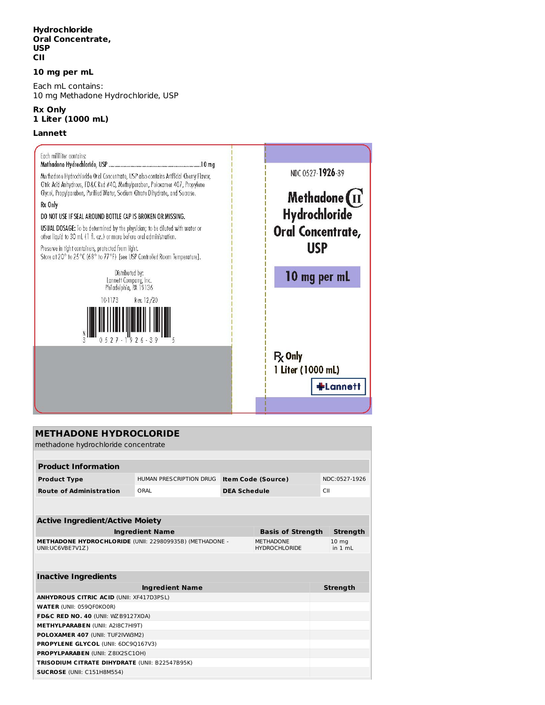### **Hydrochloride Oral Concentrate, USP CII**

#### **10 mg per mL**

Each mL contains: 10 mg Methadone Hydrochloride, USP

#### **Rx Only 1 Liter (1000 mL)**

#### **Lannett**



| <b>METHADONE HYDROCLORIDE</b><br>methadone hydrochloride concentrate                                                           |                         |                     |                           |     |                               |
|--------------------------------------------------------------------------------------------------------------------------------|-------------------------|---------------------|---------------------------|-----|-------------------------------|
|                                                                                                                                |                         |                     |                           |     |                               |
| <b>Product Information</b>                                                                                                     |                         |                     |                           |     |                               |
| <b>Product Type</b>                                                                                                            | HUMAN PRESCRIPTION DRUG |                     | <b>Item Code (Source)</b> |     | NDC:0527-1926                 |
| <b>Route of Administration</b>                                                                                                 | ORAL                    | <b>DEA Schedule</b> |                           | CII |                               |
|                                                                                                                                |                         |                     |                           |     |                               |
|                                                                                                                                |                         |                     |                           |     |                               |
| <b>Active Ingredient/Active Moiety</b>                                                                                         |                         |                     |                           |     |                               |
| <b>Ingredient Name</b><br><b>Basis of Strength</b>                                                                             |                         |                     |                           |     | <b>Strength</b>               |
| <b>METHADONE HYDROCHLORIDE (UNII: 229809935B) (METHADONE -</b><br><b>METHADONE</b><br>UNII:UC6VBE7V1Z)<br><b>HYDROCHLORIDE</b> |                         |                     |                           |     | 10 <sub>ma</sub><br>in $1 mL$ |
|                                                                                                                                |                         |                     |                           |     |                               |
| <b>Inactive Ingredients</b>                                                                                                    |                         |                     |                           |     |                               |
|                                                                                                                                | <b>Ingredient Name</b>  |                     |                           |     | <b>Strength</b>               |
| <b>ANHYDROUS CITRIC ACID (UNII: XF417D3PSL)</b>                                                                                |                         |                     |                           |     |                               |
| <b>WATER (UNII: 059QF0KO0R)</b>                                                                                                |                         |                     |                           |     |                               |
| FD&C RED NO. 40 (UNII: WZB9127XOA)                                                                                             |                         |                     |                           |     |                               |
| <b>METHYLPARABEN (UNII: A2I8C7HI9T)</b>                                                                                        |                         |                     |                           |     |                               |
| POLOXAMER 407 (UNII: TUF2IVW3M2)                                                                                               |                         |                     |                           |     |                               |
| <b>PROPYLENE GLYCOL (UNII: 6DC90167V3)</b>                                                                                     |                         |                     |                           |     |                               |
| PROPYLPARABEN (UNII: Z8IX2SC10H)                                                                                               |                         |                     |                           |     |                               |
| <b>TRISODIUM CITRATE DIHYDRATE (UNII: B22547B95K)</b>                                                                          |                         |                     |                           |     |                               |
| SUCROSE (UNII: C151H8M554)                                                                                                     |                         |                     |                           |     |                               |